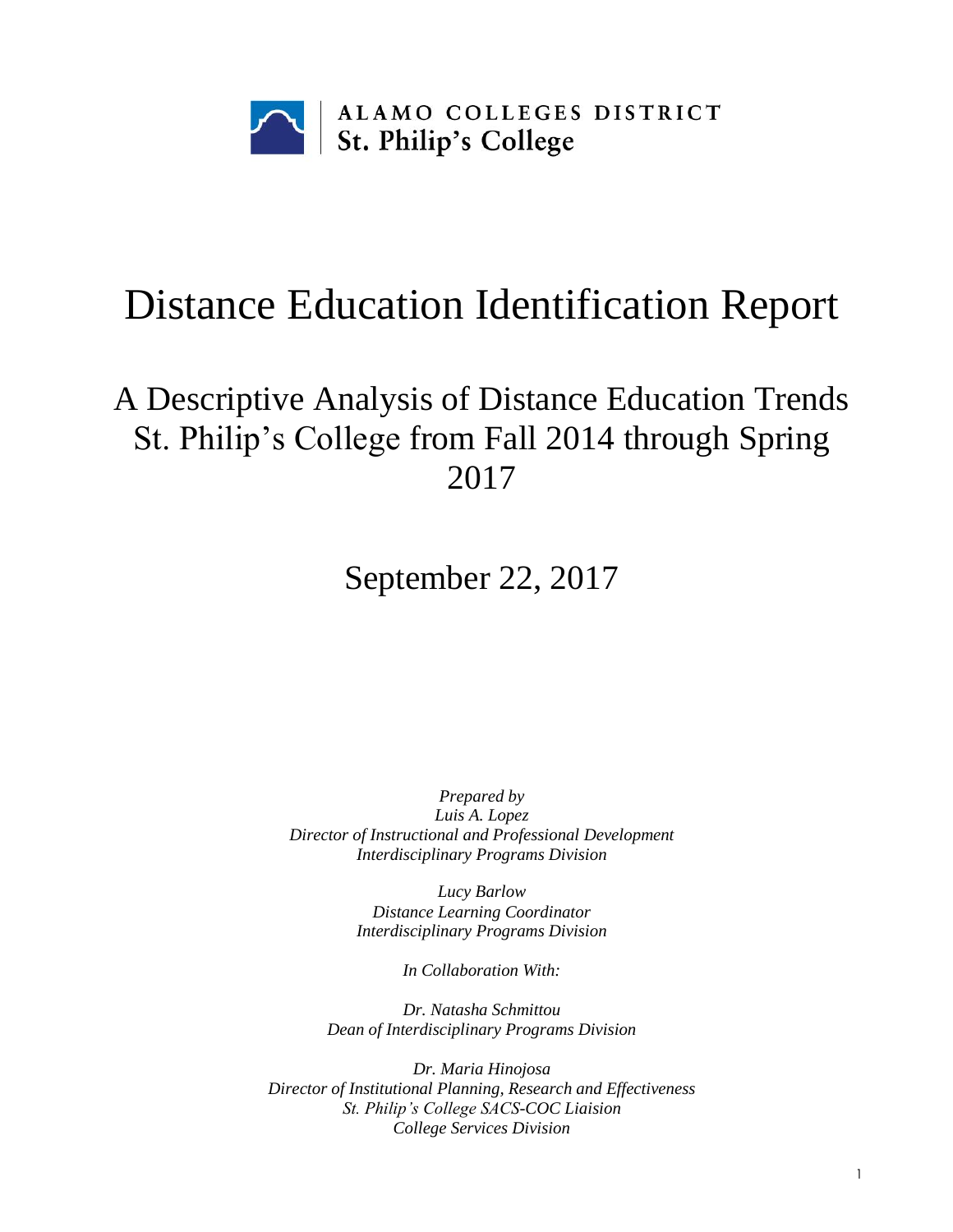

# Distance Education Identification Report

## A Descriptive Analysis of Distance Education Trends St. Philip's College from Fall 2014 through Spring 2017

September 22, 2017

*Prepared by Luis A. Lopez Director of Instructional and Professional Development Interdisciplinary Programs Division*

> *Lucy Barlow Distance Learning Coordinator Interdisciplinary Programs Division*

> > *In Collaboration With:*

*Dr. Natasha Schmittou Dean of Interdisciplinary Programs Division*

*Dr. Maria Hinojosa Director of Institutional Planning, Research and Effectiveness St. Philip's College SACS-COC Liaision College Services Division*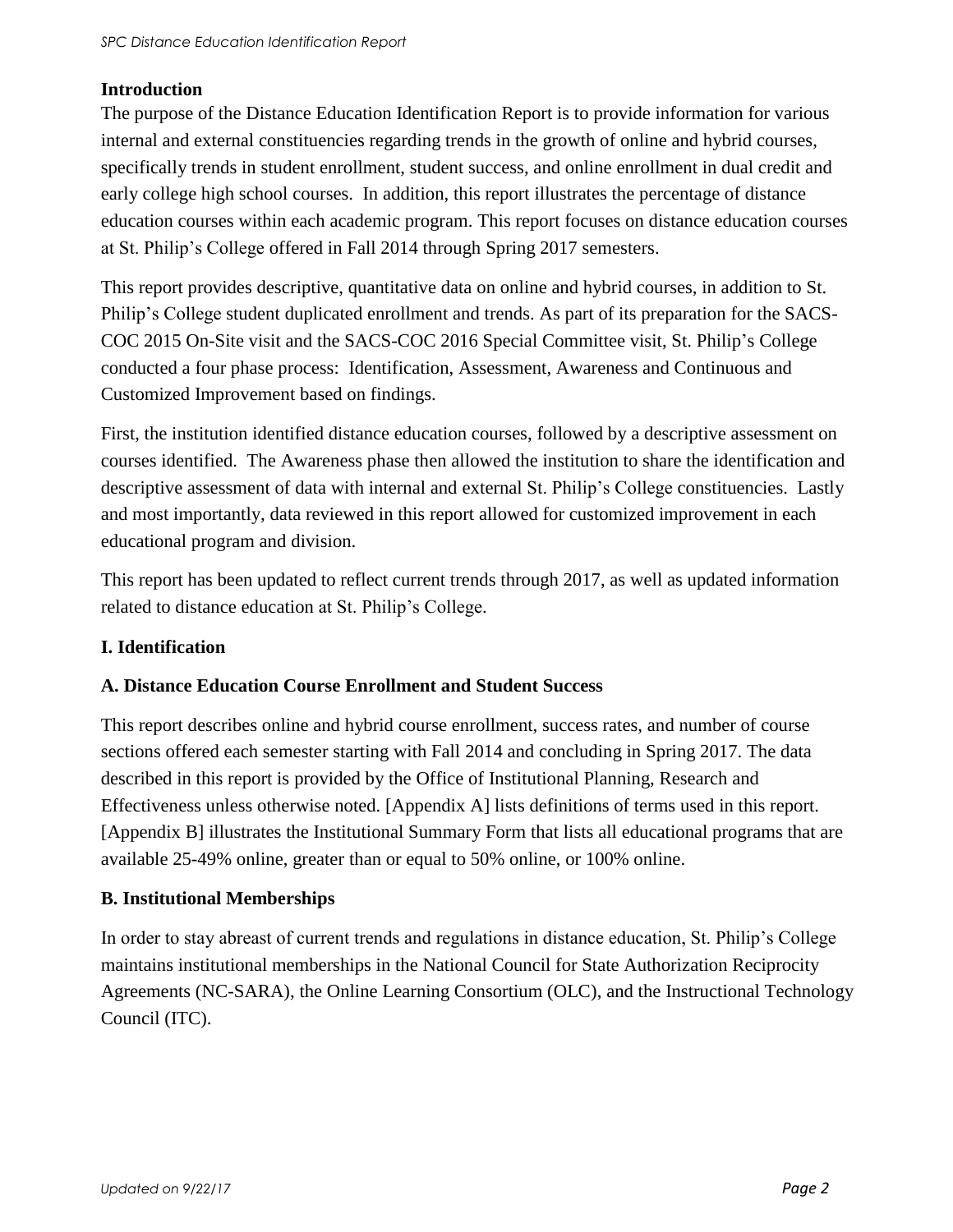### **Introduction**

The purpose of the Distance Education Identification Report is to provide information for various internal and external constituencies regarding trends in the growth of online and hybrid courses, specifically trends in student enrollment, student success, and online enrollment in dual credit and early college high school courses. In addition, this report illustrates the percentage of distance education courses within each academic program. This report focuses on distance education courses at St. Philip's College offered in Fall 2014 through Spring 2017 semesters.

This report provides descriptive, quantitative data on online and hybrid courses, in addition to St. Philip's College student duplicated enrollment and trends. As part of its preparation for the SACS-COC 2015 On-Site visit and the SACS-COC 2016 Special Committee visit, St. Philip's College conducted a four phase process: Identification, Assessment, Awareness and Continuous and Customized Improvement based on findings.

First, the institution identified distance education courses, followed by a descriptive assessment on courses identified. The Awareness phase then allowed the institution to share the identification and descriptive assessment of data with internal and external St. Philip's College constituencies. Lastly and most importantly, data reviewed in this report allowed for customized improvement in each educational program and division.

This report has been updated to reflect current trends through 2017, as well as updated information related to distance education at St. Philip's College.

### **I. Identification**

### **A. Distance Education Course Enrollment and Student Success**

This report describes online and hybrid course enrollment, success rates, and number of course sections offered each semester starting with Fall 2014 and concluding in Spring 2017. The data described in this report is provided by the Office of Institutional Planning, Research and Effectiveness unless otherwise noted. [Appendix A] lists definitions of terms used in this report. [Appendix B] illustrates the Institutional Summary Form that lists all educational programs that are available 25-49% online, greater than or equal to 50% online, or 100% online.

### **B. Institutional Memberships**

In order to stay abreast of current trends and regulations in distance education, St. Philip's College maintains institutional memberships in the National Council for State Authorization Reciprocity Agreements (NC-SARA), the Online Learning Consortium (OLC), and the Instructional Technology Council (ITC).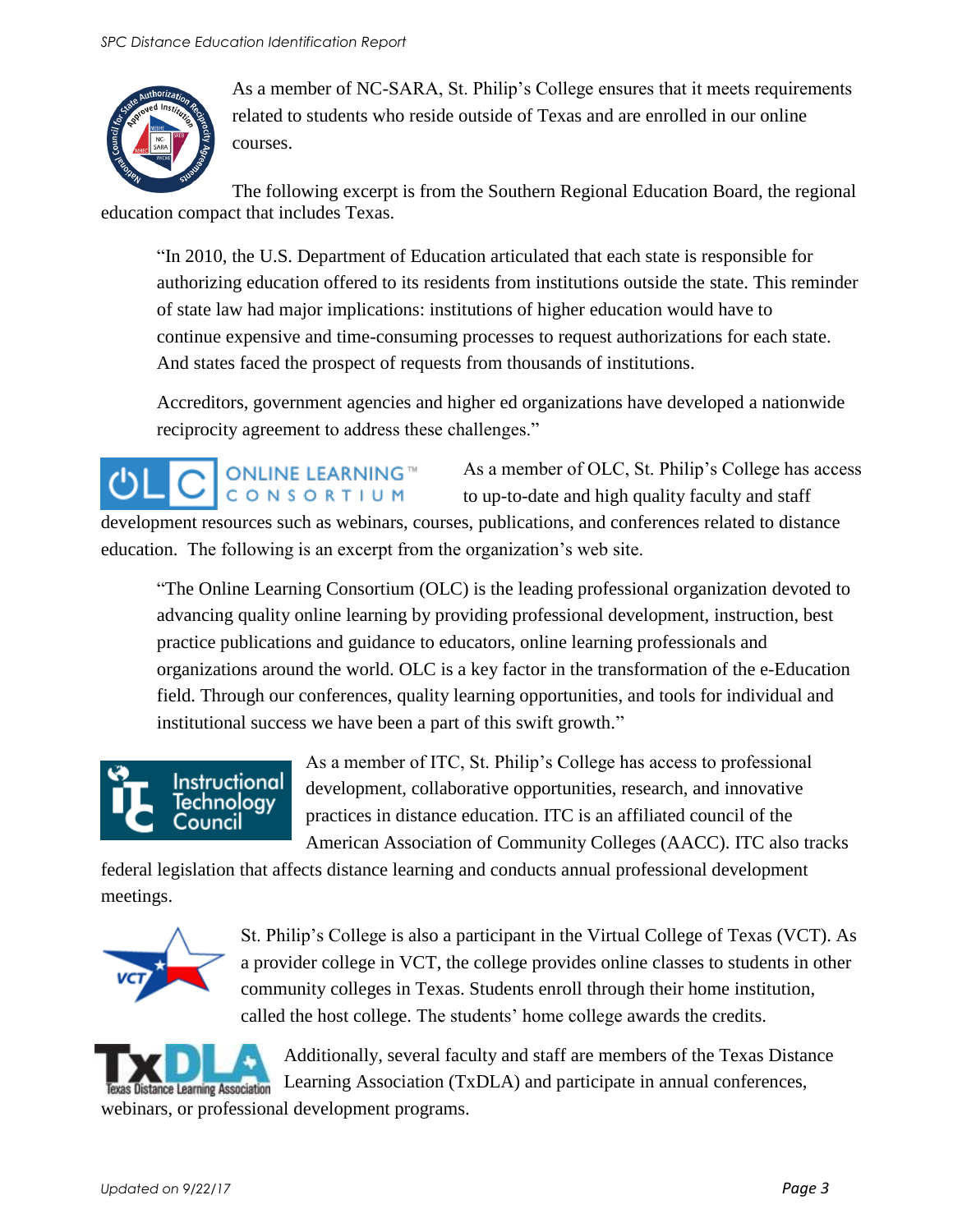

As a member of NC-SARA, St. Philip's College ensures that it meets requirements related to students who reside outside of Texas and are enrolled in our online courses.

The following excerpt is from the Southern Regional Education Board, the regional education compact that includes Texas.

"In 2010, the U.S. Department of Education articulated that each state is responsible for authorizing education offered to its residents from institutions outside the state. This reminder of state law had major implications: institutions of higher education would have to continue expensive and time-consuming processes to request authorizations for each state. And states faced the prospect of requests from thousands of institutions.

Accreditors, government agencies and higher ed organizations have developed a nationwide reciprocity agreement to address these challenges."

As a member of OLC, St. Philip's College has access **ONLINE LEARNING™** CONSORTIUM to up-to-date and high quality faculty and staff development resources such as webinars, courses, publications, and conferences related to distance education. The following is an excerpt from the organization's web site.

"The Online Learning Consortium (OLC) is the leading professional organization devoted to advancing quality online learning by providing professional development, instruction, best practice publications and guidance to educators, online learning professionals and organizations around the world. OLC is a key factor in the transformation of the e-Education field. Through our conferences, quality learning opportunities, and tools for individual and institutional success we have been a part of this swift growth."

### Instructional echnology ouncil

As a member of ITC, St. Philip's College has access to professional development, collaborative opportunities, research, and innovative practices in distance education. ITC is an affiliated council of the American Association of Community Colleges (AACC). ITC also tracks

federal legislation that affects distance learning and conducts annual professional development meetings.



St. Philip's College is also a participant in the Virtual College of Texas (VCT). As a provider college in VCT, the college provides online classes to students in other community colleges in Texas. Students enroll through their home institution, called the host college. The students' home college awards the credits.



Additionally, several faculty and staff are members of the Texas Distance Learning Association (TxDLA) and participate in annual conferences,

webinars, or professional development programs.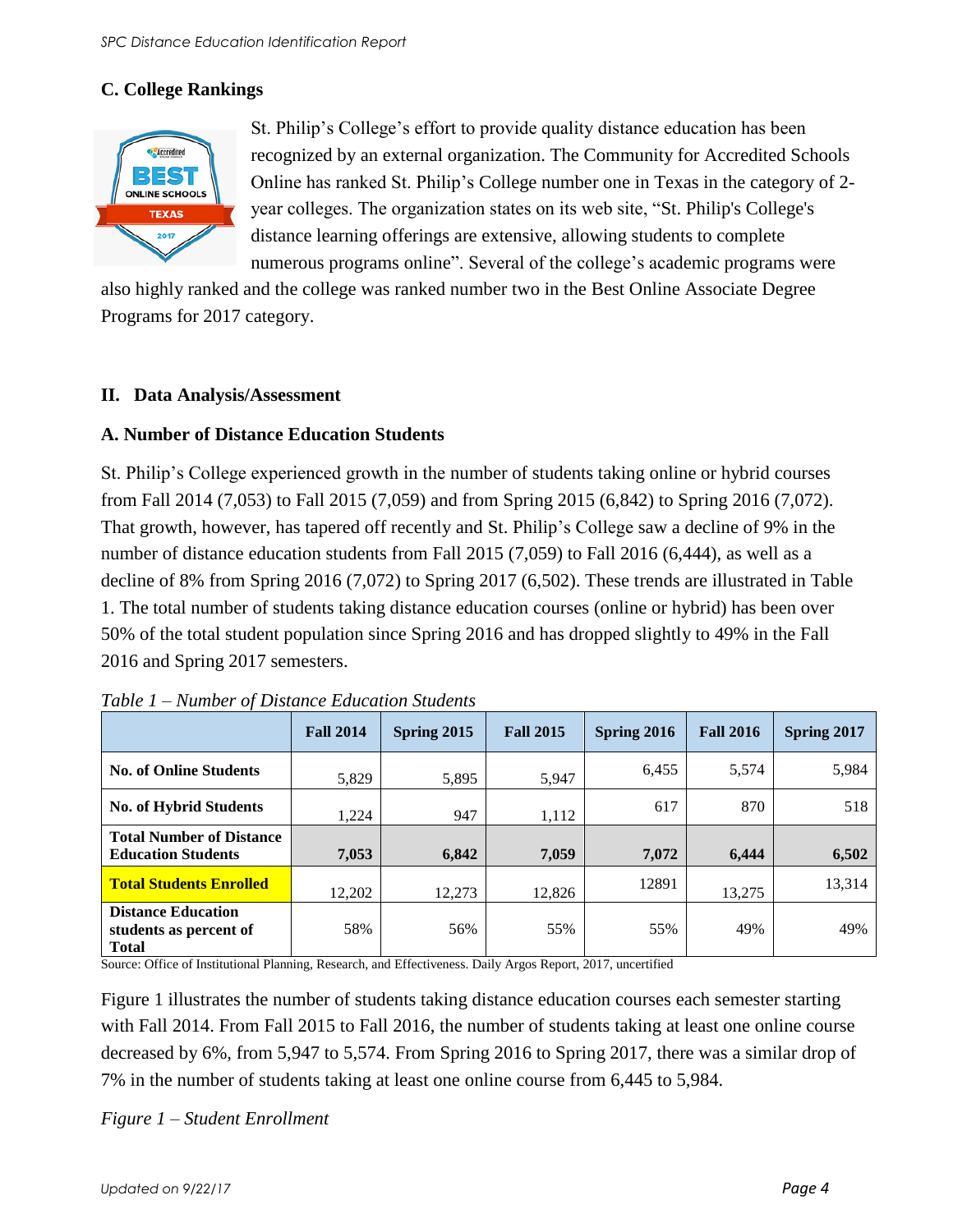### **C. College Rankings**



St. Philip's College's effort to provide quality distance education has been recognized by an external organization. The Community for Accredited Schools Online has ranked St. Philip's College number one in Texas in the category of 2 year colleges. The organization states on its web site, "St. Philip's College's distance learning offerings are extensive, allowing students to complete numerous programs online". Several of the college's academic programs were

also highly ranked and the college was ranked number two in the Best Online Associate Degree Programs for 2017 category.

#### **II. Data Analysis/Assessment**

### **A. Number of Distance Education Students**

St. Philip's College experienced growth in the number of students taking online or hybrid courses from Fall 2014 (7,053) to Fall 2015 (7,059) and from Spring 2015 (6,842) to Spring 2016 (7,072). That growth, however, has tapered off recently and St. Philip's College saw a decline of 9% in the number of distance education students from Fall 2015 (7,059) to Fall 2016 (6,444), as well as a decline of 8% from Spring 2016 (7,072) to Spring 2017 (6,502). These trends are illustrated in Table 1. The total number of students taking distance education courses (online or hybrid) has been over 50% of the total student population since Spring 2016 and has dropped slightly to 49% in the Fall 2016 and Spring 2017 semesters.

|                                                                     | <b>Fall 2014</b> | Spring 2015 | <b>Fall 2015</b> | Spring 2016 | <b>Fall 2016</b> | Spring 2017 |
|---------------------------------------------------------------------|------------------|-------------|------------------|-------------|------------------|-------------|
| <b>No. of Online Students</b>                                       | 5,829            | 5,895       | 5,947            | 6,455       | 5,574            | 5,984       |
| <b>No. of Hybrid Students</b>                                       | 1.224            | 947         | 1,112            | 617         | 870              | 518         |
| <b>Total Number of Distance</b><br><b>Education Students</b>        | 7,053            | 6,842       | 7,059            | 7,072       | 6,444            | 6,502       |
| <b>Total Students Enrolled</b>                                      | 12,202           | 12,273      | 12,826           | 12891       | 13,275           | 13,314      |
| <b>Distance Education</b><br>students as percent of<br><b>Total</b> | 58%              | 56%         | 55%              | 55%         | 49%              | 49%         |

| Table 1 – Number of Distance Education Students |  |  |  |  |  |
|-------------------------------------------------|--|--|--|--|--|
|-------------------------------------------------|--|--|--|--|--|

Source: Office of Institutional Planning, Research, and Effectiveness. Daily Argos Report, 2017, uncertified

Figure 1 illustrates the number of students taking distance education courses each semester starting with Fall 2014. From Fall 2015 to Fall 2016, the number of students taking at least one online course decreased by 6%, from 5,947 to 5,574. From Spring 2016 to Spring 2017, there was a similar drop of 7% in the number of students taking at least one online course from 6,445 to 5,984.

*Figure 1 – Student Enrollment*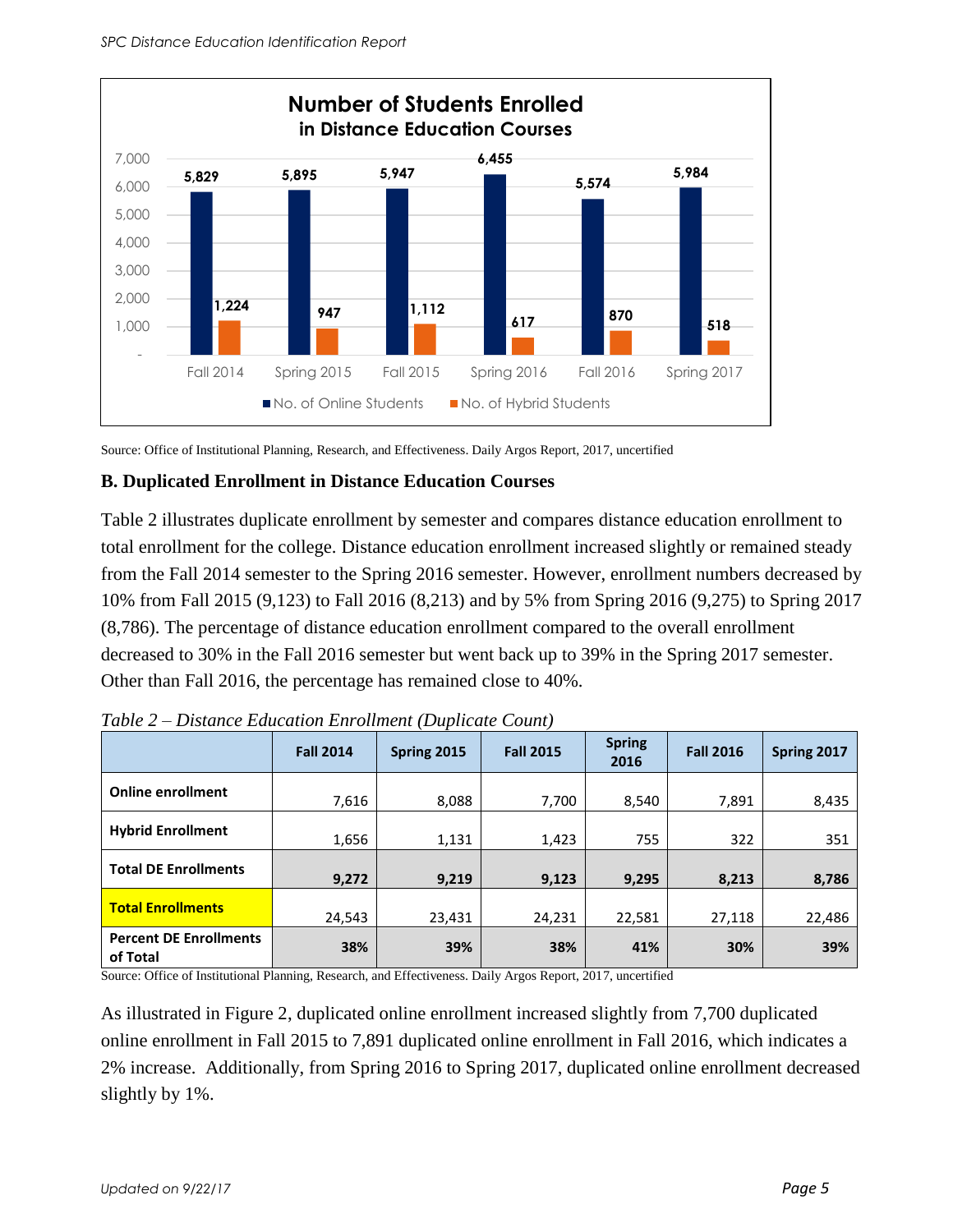

Source: Office of Institutional Planning, Research, and Effectiveness. Daily Argos Report, 2017, uncertified

#### **B. Duplicated Enrollment in Distance Education Courses**

Table 2 illustrates duplicate enrollment by semester and compares distance education enrollment to total enrollment for the college. Distance education enrollment increased slightly or remained steady from the Fall 2014 semester to the Spring 2016 semester. However, enrollment numbers decreased by 10% from Fall 2015 (9,123) to Fall 2016 (8,213) and by 5% from Spring 2016 (9,275) to Spring 2017 (8,786). The percentage of distance education enrollment compared to the overall enrollment decreased to 30% in the Fall 2016 semester but went back up to 39% in the Spring 2017 semester. Other than Fall 2016, the percentage has remained close to 40%.

|                                           | <b>Fall 2014</b> | Spring 2015 | <b>Fall 2015</b> | <b>Spring</b><br>2016 | <b>Fall 2016</b> | Spring 2017 |
|-------------------------------------------|------------------|-------------|------------------|-----------------------|------------------|-------------|
| <b>Online enrollment</b>                  | 7,616            | 8,088       | 7,700            | 8,540                 | 7,891            | 8,435       |
| <b>Hybrid Enrollment</b>                  | 1,656            | 1,131       | 1,423            | 755                   | 322              | 351         |
| <b>Total DE Enrollments</b>               | 9,272            | 9,219       | 9,123            | 9,295                 | 8,213            | 8,786       |
| <b>Total Enrollments</b>                  | 24,543           | 23,431      | 24,231           | 22,581                | 27,118           | 22,486      |
| <b>Percent DE Enrollments</b><br>of Total | 38%              | 39%         | 38%              | 41%                   | 30%              | 39%         |

| Table 2 – Distance Education Enrollment (Duplicate Count) |  |  |  |
|-----------------------------------------------------------|--|--|--|
|-----------------------------------------------------------|--|--|--|

Source: Office of Institutional Planning, Research, and Effectiveness. Daily Argos Report, 2017, uncertified

As illustrated in Figure 2, duplicated online enrollment increased slightly from 7,700 duplicated online enrollment in Fall 2015 to 7,891 duplicated online enrollment in Fall 2016, which indicates a 2% increase. Additionally, from Spring 2016 to Spring 2017, duplicated online enrollment decreased slightly by 1%.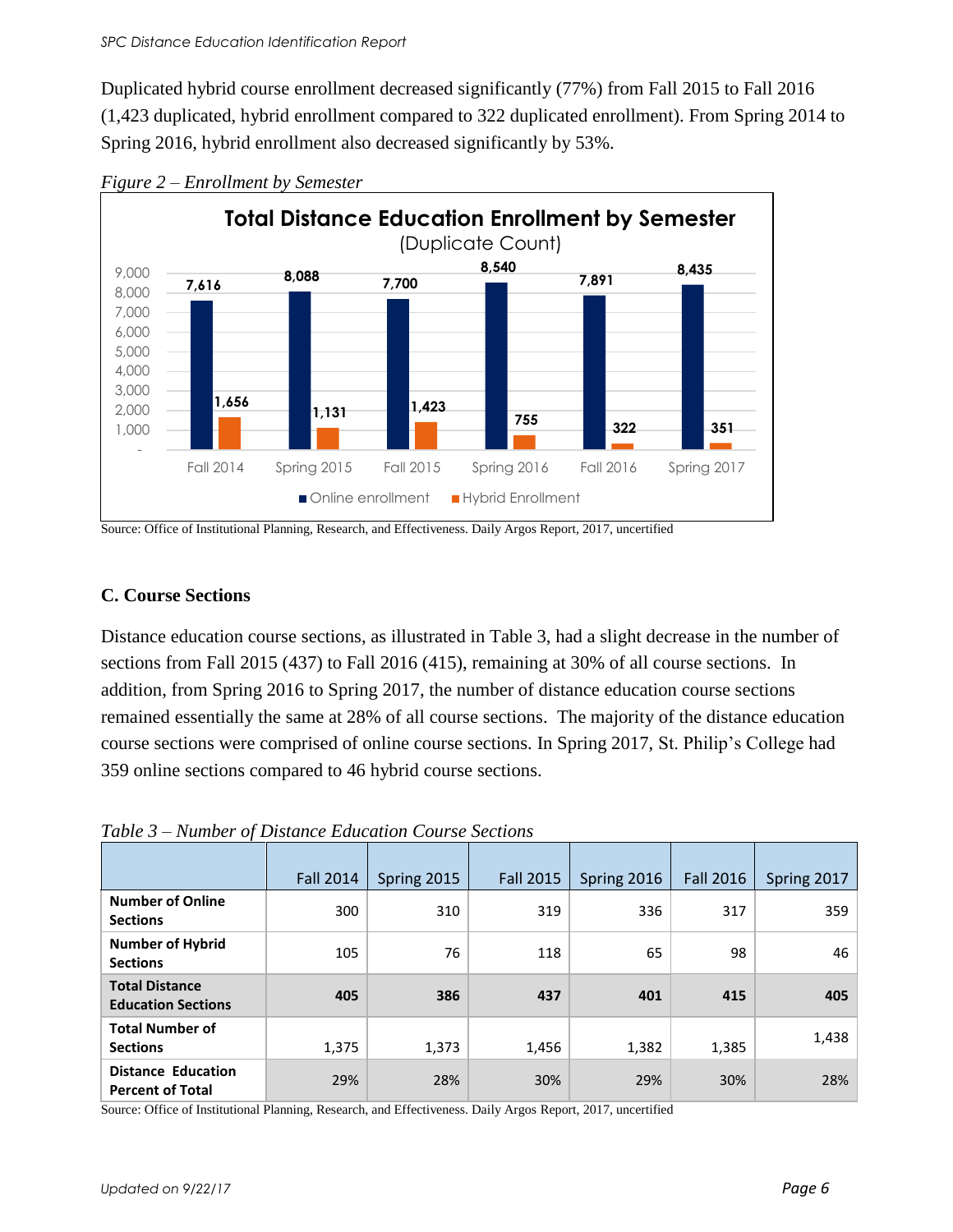Duplicated hybrid course enrollment decreased significantly (77%) from Fall 2015 to Fall 2016 (1,423 duplicated, hybrid enrollment compared to 322 duplicated enrollment). From Spring 2014 to Spring 2016, hybrid enrollment also decreased significantly by 53%.



*Figure 2 – Enrollment by Semester*

Source: Office of Institutional Planning, Research, and Effectiveness. Daily Argos Report, 2017, uncertified

### **C. Course Sections**

Distance education course sections, as illustrated in Table 3, had a slight decrease in the number of sections from Fall 2015 (437) to Fall 2016 (415), remaining at 30% of all course sections. In addition, from Spring 2016 to Spring 2017, the number of distance education course sections remained essentially the same at 28% of all course sections. The majority of the distance education course sections were comprised of online course sections. In Spring 2017, St. Philip's College had 359 online sections compared to 46 hybrid course sections.

| Table 3 – Number of Distance Education Course Sections |  |  |
|--------------------------------------------------------|--|--|
|--------------------------------------------------------|--|--|

|                                                      | <b>Fall 2014</b> | Spring 2015 | <b>Fall 2015</b> | Spring 2016 | <b>Fall 2016</b> | Spring 2017 |
|------------------------------------------------------|------------------|-------------|------------------|-------------|------------------|-------------|
| <b>Number of Online</b><br><b>Sections</b>           | 300              | 310         | 319              | 336         | 317              | 359         |
| <b>Number of Hybrid</b><br><b>Sections</b>           | 105              | 76          | 118              | 65          | 98               | 46          |
| <b>Total Distance</b><br><b>Education Sections</b>   | 405              | 386         | 437              | 401         | 415              | 405         |
| <b>Total Number of</b><br><b>Sections</b>            | 1,375            | 1,373       | 1,456            | 1,382       | 1,385            | 1,438       |
| <b>Distance Education</b><br><b>Percent of Total</b> | 29%              | 28%         | 30%              | 29%         | 30%              | 28%         |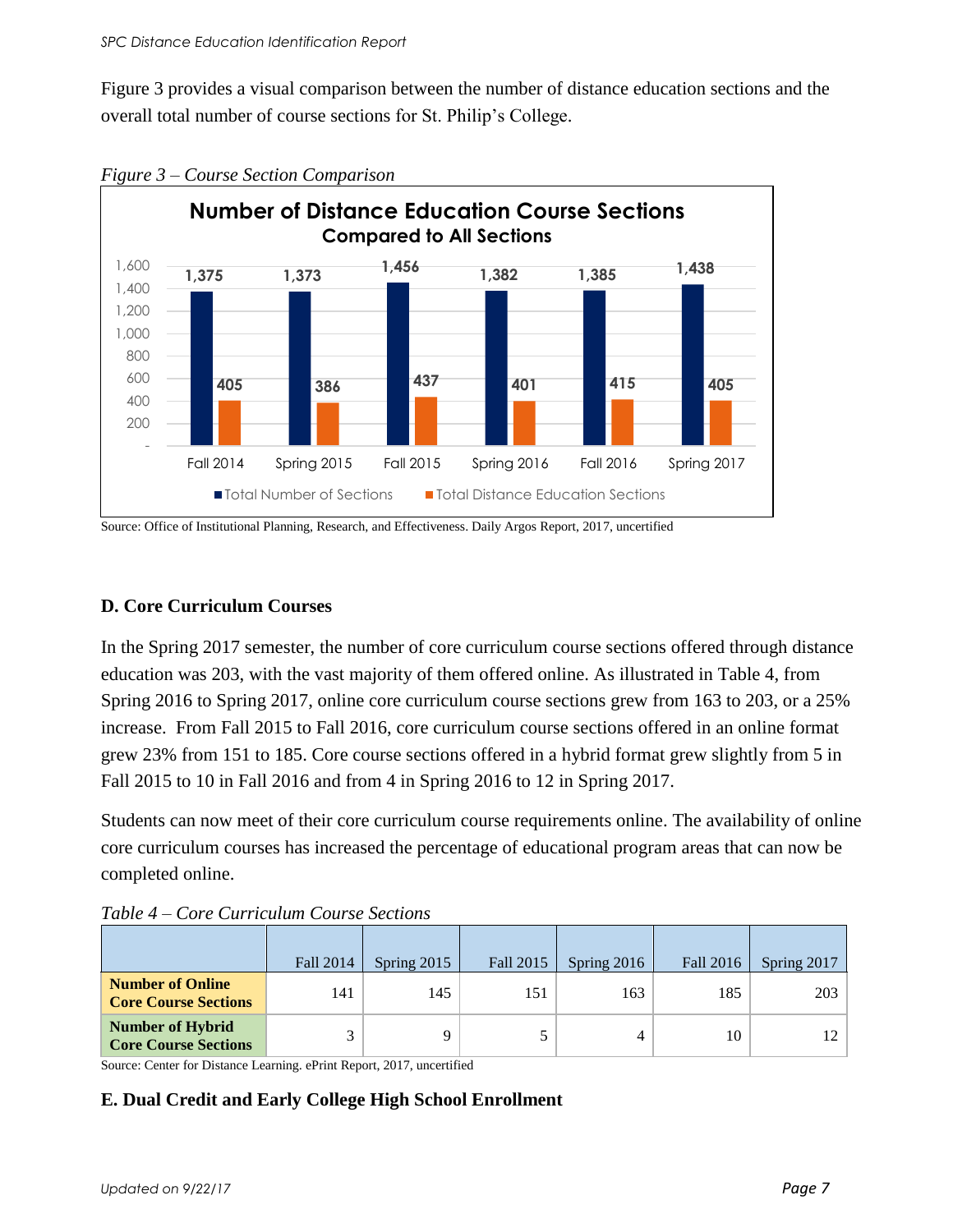Figure 3 provides a visual comparison between the number of distance education sections and the overall total number of course sections for St. Philip's College.



*Figure 3 – Course Section Comparison* 

Source: Office of Institutional Planning, Research, and Effectiveness. Daily Argos Report, 2017, uncertified

#### **D. Core Curriculum Courses**

In the Spring 2017 semester, the number of core curriculum course sections offered through distance education was 203, with the vast majority of them offered online. As illustrated in Table 4, from Spring 2016 to Spring 2017, online core curriculum course sections grew from 163 to 203, or a 25% increase. From Fall 2015 to Fall 2016, core curriculum course sections offered in an online format grew 23% from 151 to 185. Core course sections offered in a hybrid format grew slightly from 5 in Fall 2015 to 10 in Fall 2016 and from 4 in Spring 2016 to 12 in Spring 2017.

Students can now meet of their core curriculum course requirements online. The availability of online core curriculum courses has increased the percentage of educational program areas that can now be completed online.

|                                                        | Fall 2014 | Spring $2015$ | Fall 2015 | Spring $2016$ | Fall 2016 | Spring 2017 |
|--------------------------------------------------------|-----------|---------------|-----------|---------------|-----------|-------------|
| <b>Number of Online</b><br><b>Core Course Sections</b> | 141       | 145           | 151       | 163           | 185       | 203         |
| <b>Number of Hybrid</b><br><b>Core Course Sections</b> |           |               |           | 4             | 10        | 12          |

*Table 4 – Core Curriculum Course Sections* 

Source: Center for Distance Learning. ePrint Report, 2017, uncertified

### **E. Dual Credit and Early College High School Enrollment**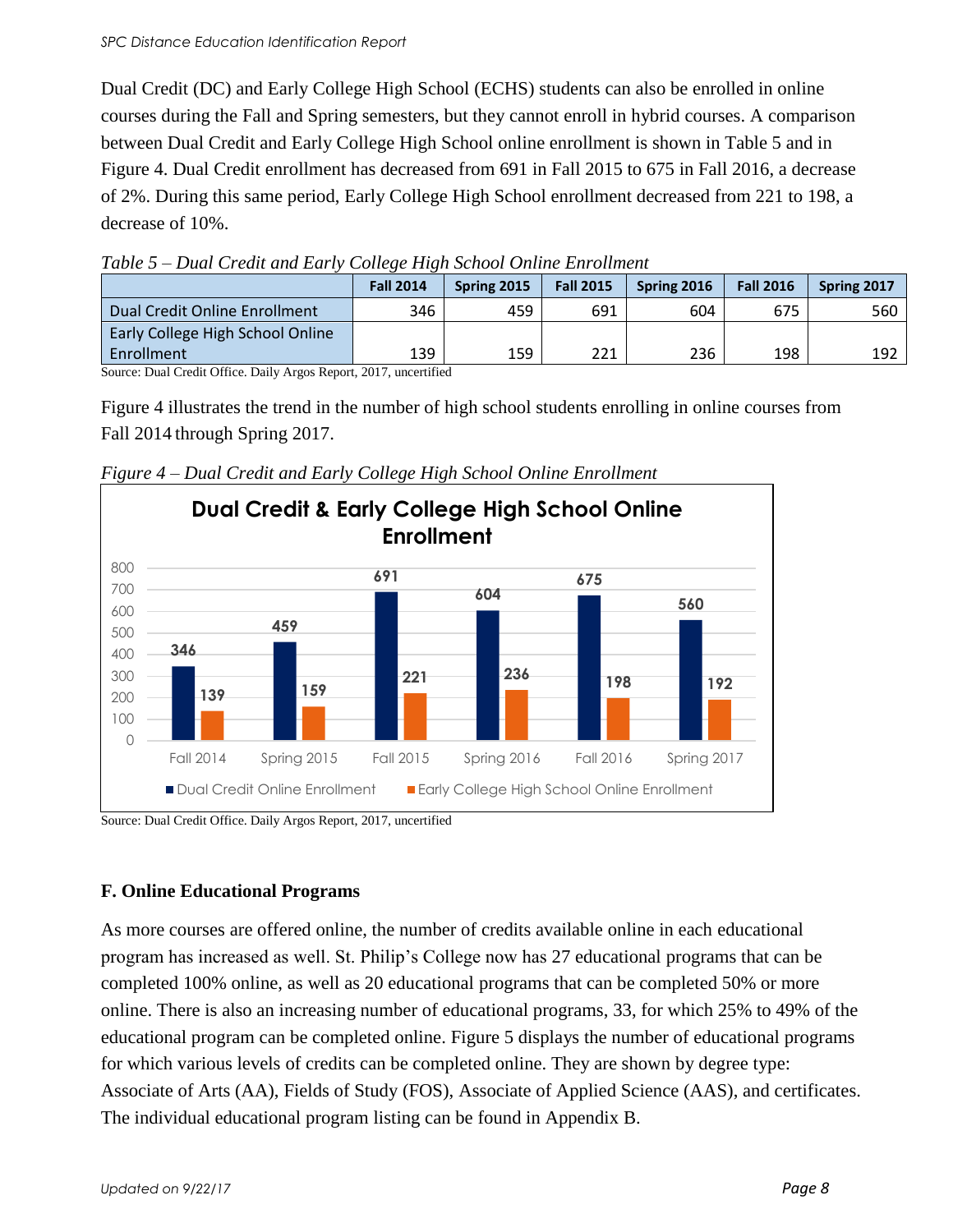#### *SPC Distance Education Identification Report*

Dual Credit (DC) and Early College High School (ECHS) students can also be enrolled in online courses during the Fall and Spring semesters, but they cannot enroll in hybrid courses. A comparison between Dual Credit and Early College High School online enrollment is shown in Table 5 and in Figure 4. Dual Credit enrollment has decreased from 691 in Fall 2015 to 675 in Fall 2016, a decrease of 2%. During this same period, Early College High School enrollment decreased from 221 to 198, a decrease of 10%.

|                                  | <b>Fall 2014</b> | Spring 2015 | <b>Fall 2015</b> | Spring 2016 | <b>Fall 2016</b> | Spring 2017 |
|----------------------------------|------------------|-------------|------------------|-------------|------------------|-------------|
| Dual Credit Online Enrollment    | 346              | 459         | 691              | 604         | 675              | 560         |
| Early College High School Online |                  |             |                  |             |                  |             |
| Enrollment                       | 139              | 159         | 221              | 236         | 198              | 192         |

*Table 5 – Dual Credit and Early College High School Online Enrollment*

Source: Dual Credit Office. Daily Argos Report, 2017, uncertified

Figure 4 illustrates the trend in the number of high school students enrolling in online courses from Fall 2014 through Spring 2017.



*Figure 4 – Dual Credit and Early College High School Online Enrollment*

Source: Dual Credit Office. Daily Argos Report, 2017, uncertified

#### **F. Online Educational Programs**

As more courses are offered online, the number of credits available online in each educational program has increased as well. St. Philip's College now has 27 educational programs that can be completed 100% online, as well as 20 educational programs that can be completed 50% or more online. There is also an increasing number of educational programs, 33, for which 25% to 49% of the educational program can be completed online. Figure 5 displays the number of educational programs for which various levels of credits can be completed online. They are shown by degree type: Associate of Arts (AA), Fields of Study (FOS), Associate of Applied Science (AAS), and certificates. The individual educational program listing can be found in Appendix B.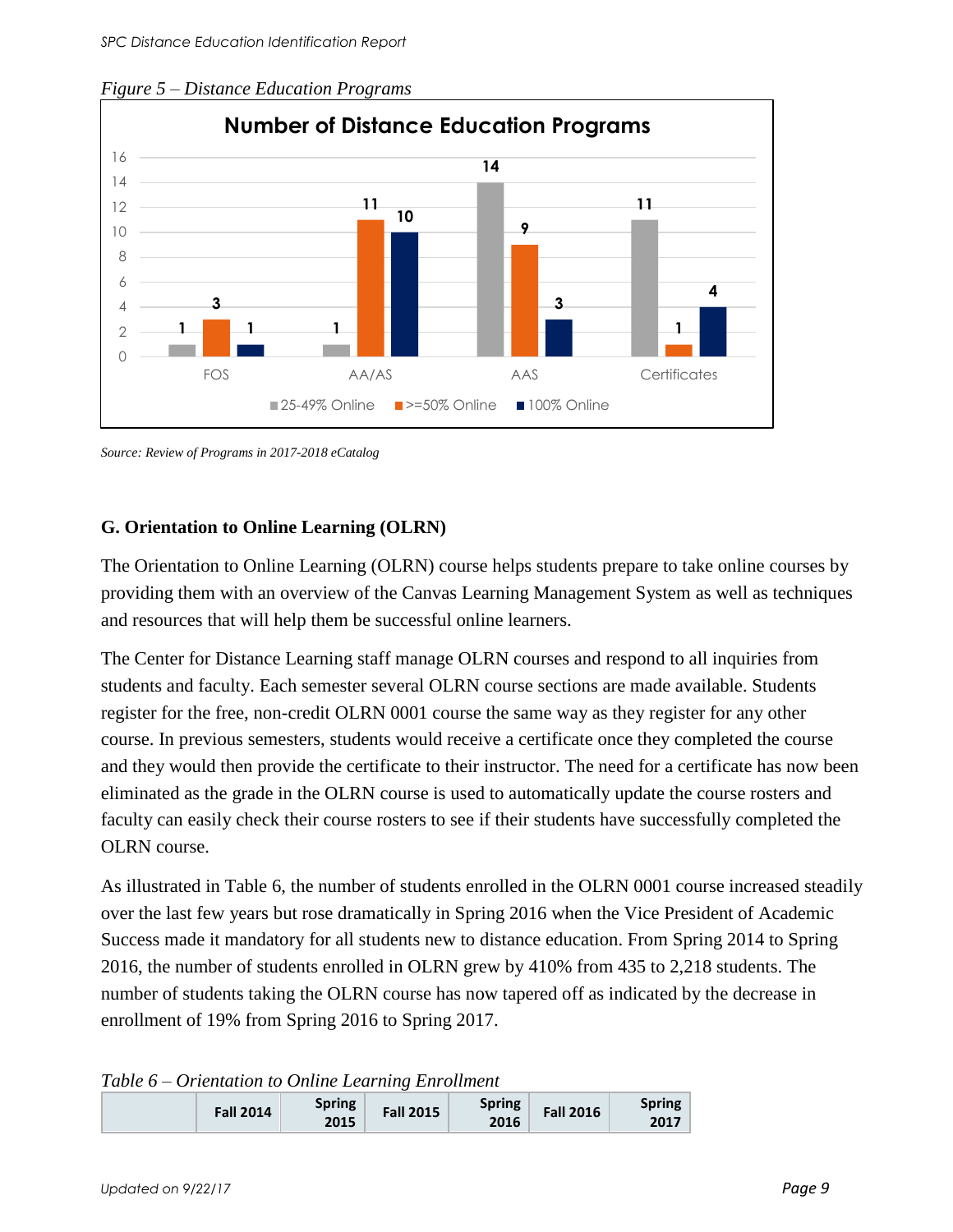

*Figure 5 – Distance Education Programs* 

*Source: Review of Programs in 2017-2018 eCatalog*

### **G. Orientation to Online Learning (OLRN)**

The Orientation to Online Learning (OLRN) course helps students prepare to take online courses by providing them with an overview of the Canvas Learning Management System as well as techniques and resources that will help them be successful online learners.

The Center for Distance Learning staff manage OLRN courses and respond to all inquiries from students and faculty. Each semester several OLRN course sections are made available. Students register for the free, non-credit OLRN 0001 course the same way as they register for any other course. In previous semesters, students would receive a certificate once they completed the course and they would then provide the certificate to their instructor. The need for a certificate has now been eliminated as the grade in the OLRN course is used to automatically update the course rosters and faculty can easily check their course rosters to see if their students have successfully completed the OLRN course.

As illustrated in Table 6, the number of students enrolled in the OLRN 0001 course increased steadily over the last few years but rose dramatically in Spring 2016 when the Vice President of Academic Success made it mandatory for all students new to distance education. From Spring 2014 to Spring 2016, the number of students enrolled in OLRN grew by 410% from 435 to 2,218 students. The number of students taking the OLRN course has now tapered off as indicated by the decrease in enrollment of 19% from Spring 2016 to Spring 2017.

#### *Table 6 – Orientation to Online Learning Enrollment*

| <b>Spring</b><br><b>Spring</b><br><b>Fall 2016</b><br><b>Fall 2015</b><br><b>Fall 2014</b><br>2016<br>2015 | Spring<br>2017 |
|------------------------------------------------------------------------------------------------------------|----------------|
|------------------------------------------------------------------------------------------------------------|----------------|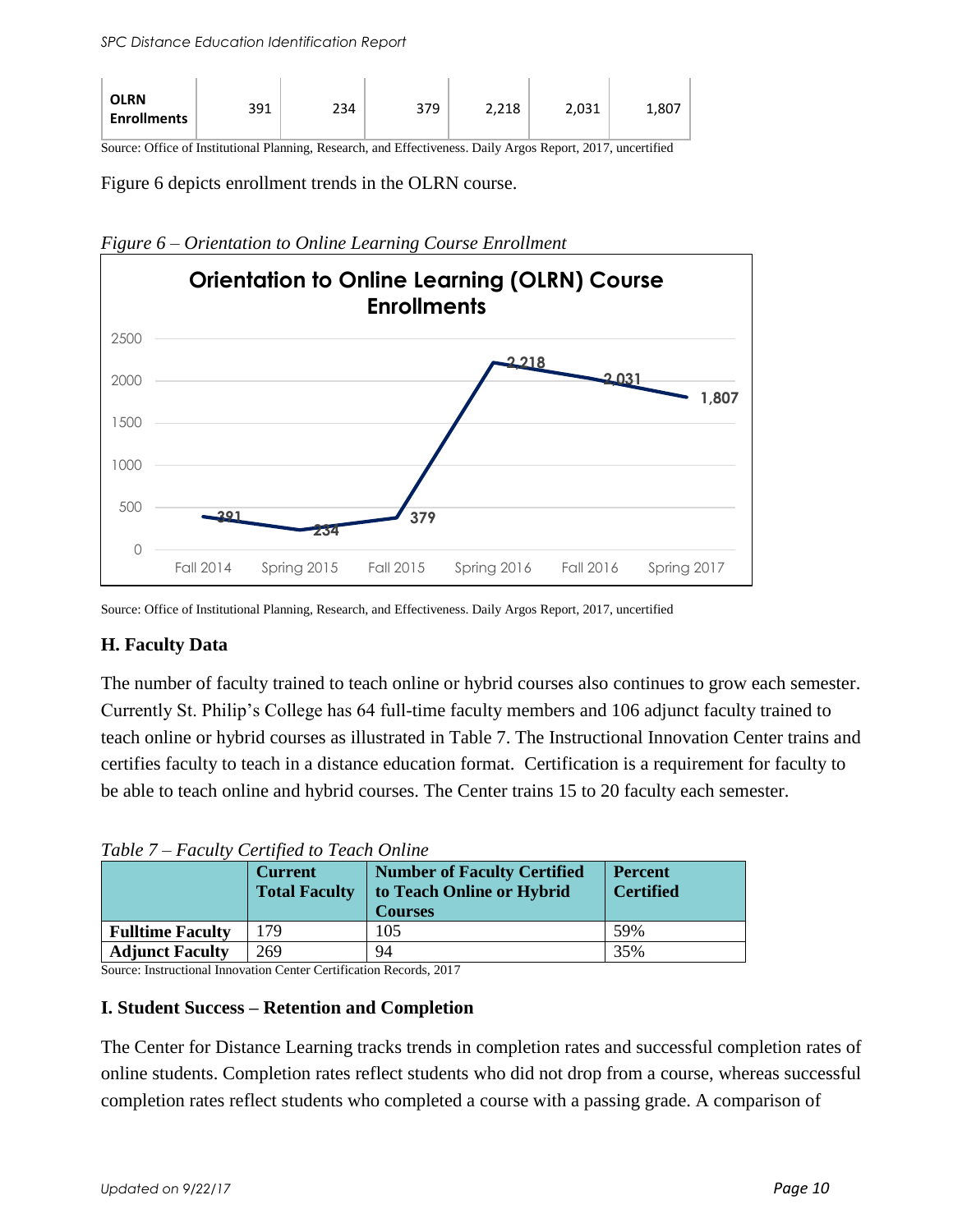| <b>OLRN</b><br><b>Enrollments</b> | 391 | 234 | 379 | 2,218 | 2,031 | 1,807 |
|-----------------------------------|-----|-----|-----|-------|-------|-------|
|-----------------------------------|-----|-----|-----|-------|-------|-------|

Source: Office of Institutional Planning, Research, and Effectiveness. Daily Argos Report, 2017, uncertified

Figure 6 depicts enrollment trends in the OLRN course.



*Figure 6 – Orientation to Online Learning Course Enrollment*

Source: Office of Institutional Planning, Research, and Effectiveness. Daily Argos Report, 2017, uncertified

### **H. Faculty Data**

The number of faculty trained to teach online or hybrid courses also continues to grow each semester. Currently St. Philip's College has 64 full-time faculty members and 106 adjunct faculty trained to teach online or hybrid courses as illustrated in Table 7. The Instructional Innovation Center trains and certifies faculty to teach in a distance education format. Certification is a requirement for faculty to be able to teach online and hybrid courses. The Center trains 15 to 20 faculty each semester.

*Table 7 – Faculty Certified to Teach Online* 

|                         | <b>Current</b><br><b>Total Faculty</b> | <b>Number of Faculty Certified</b><br>to Teach Online or Hybrid<br><b>Courses</b> | <b>Percent</b><br><b>Certified</b> |
|-------------------------|----------------------------------------|-----------------------------------------------------------------------------------|------------------------------------|
| <b>Fulltime Faculty</b> | 179                                    | 105                                                                               | 59%                                |
| <b>Adjunct Faculty</b>  | 269                                    | 94                                                                                | 35%                                |

Source: Instructional Innovation Center Certification Records, 2017

### **I. Student Success – Retention and Completion**

The Center for Distance Learning tracks trends in completion rates and successful completion rates of online students. Completion rates reflect students who did not drop from a course, whereas successful completion rates reflect students who completed a course with a passing grade. A comparison of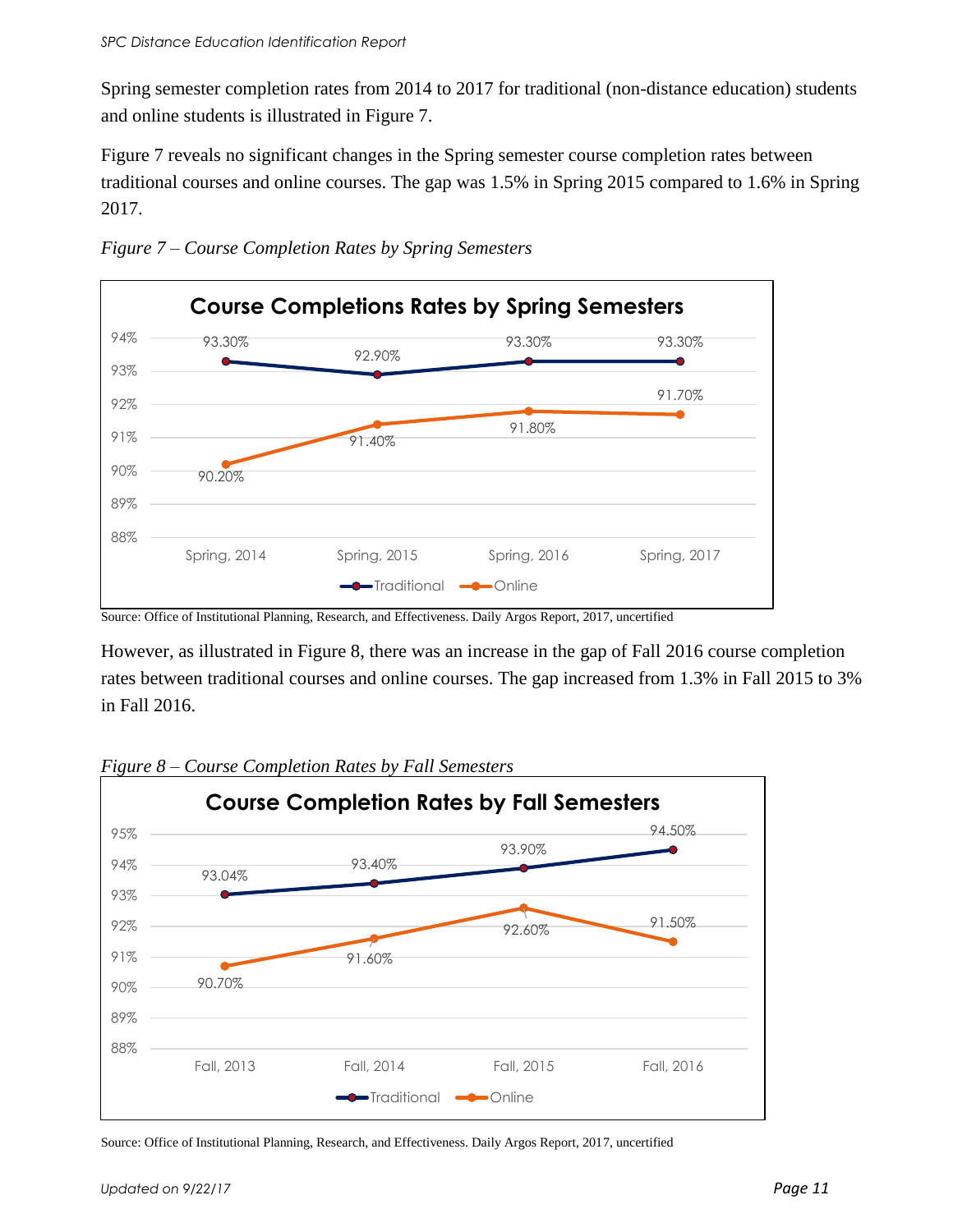Spring semester completion rates from 2014 to 2017 for traditional (non-distance education) students and online students is illustrated in Figure 7.

Figure 7 reveals no significant changes in the Spring semester course completion rates between traditional courses and online courses. The gap was 1.5% in Spring 2015 compared to 1.6% in Spring 2017.



*Figure 7 – Course Completion Rates by Spring Semesters*

Source: Office of Institutional Planning, Research, and Effectiveness. Daily Argos Report, 2017, uncertified

However, as illustrated in Figure 8, there was an increase in the gap of Fall 2016 course completion rates between traditional courses and online courses. The gap increased from 1.3% in Fall 2015 to 3% in Fall 2016.



*Figure 8 – Course Completion Rates by Fall Semesters*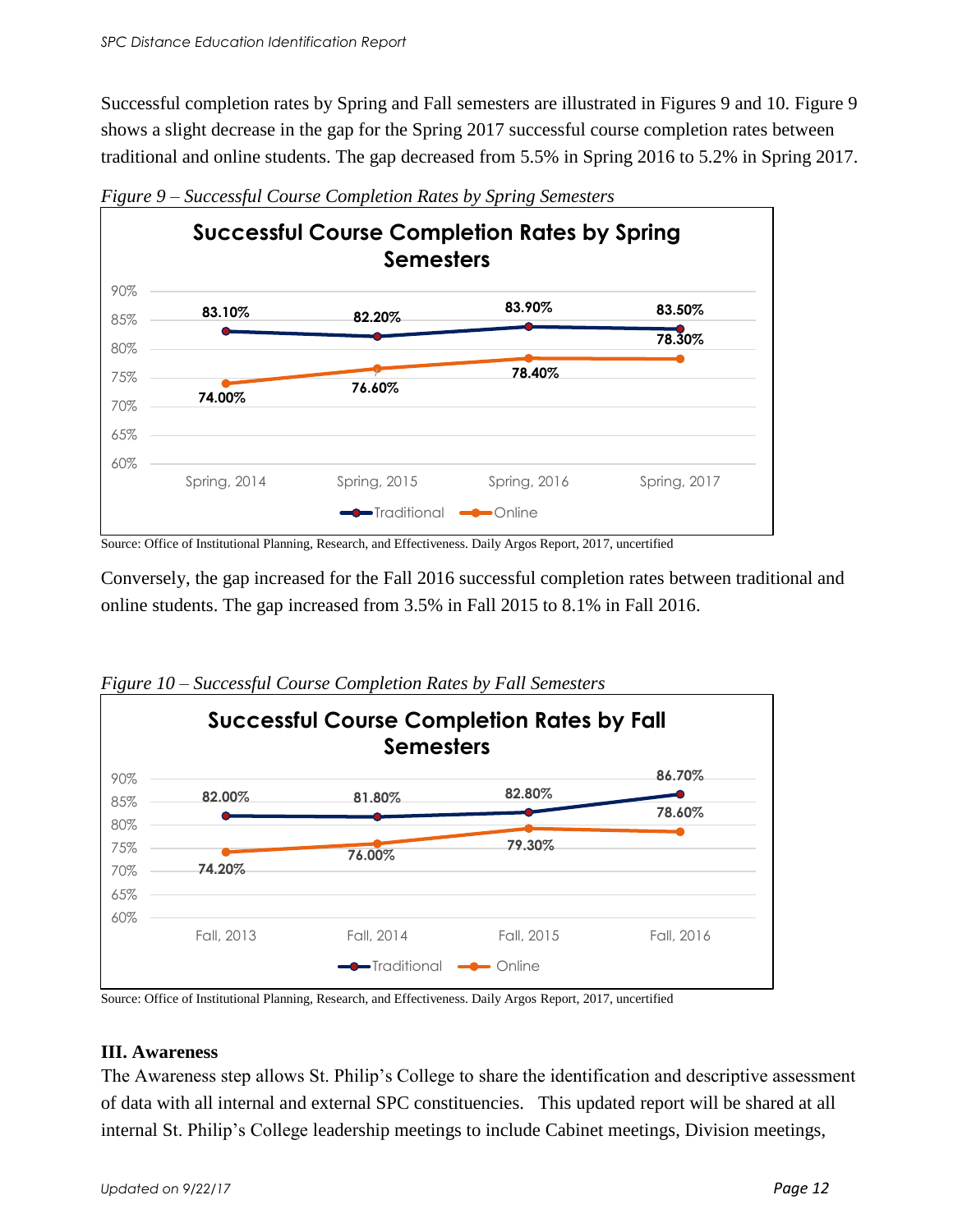Successful completion rates by Spring and Fall semesters are illustrated in Figures 9 and 10. Figure 9 shows a slight decrease in the gap for the Spring 2017 successful course completion rates between traditional and online students. The gap decreased from 5.5% in Spring 2016 to 5.2% in Spring 2017.



*Figure 9 – Successful Course Completion Rates by Spring Semesters*

Source: Office of Institutional Planning, Research, and Effectiveness. Daily Argos Report, 2017, uncertified

Conversely, the gap increased for the Fall 2016 successful completion rates between traditional and online students. The gap increased from 3.5% in Fall 2015 to 8.1% in Fall 2016.



*Figure 10 – Successful Course Completion Rates by Fall Semesters* 

Source: Office of Institutional Planning, Research, and Effectiveness. Daily Argos Report, 2017, uncertified

#### **III. Awareness**

The Awareness step allows St. Philip's College to share the identification and descriptive assessment of data with all internal and external SPC constituencies. This updated report will be shared at all internal St. Philip's College leadership meetings to include Cabinet meetings, Division meetings,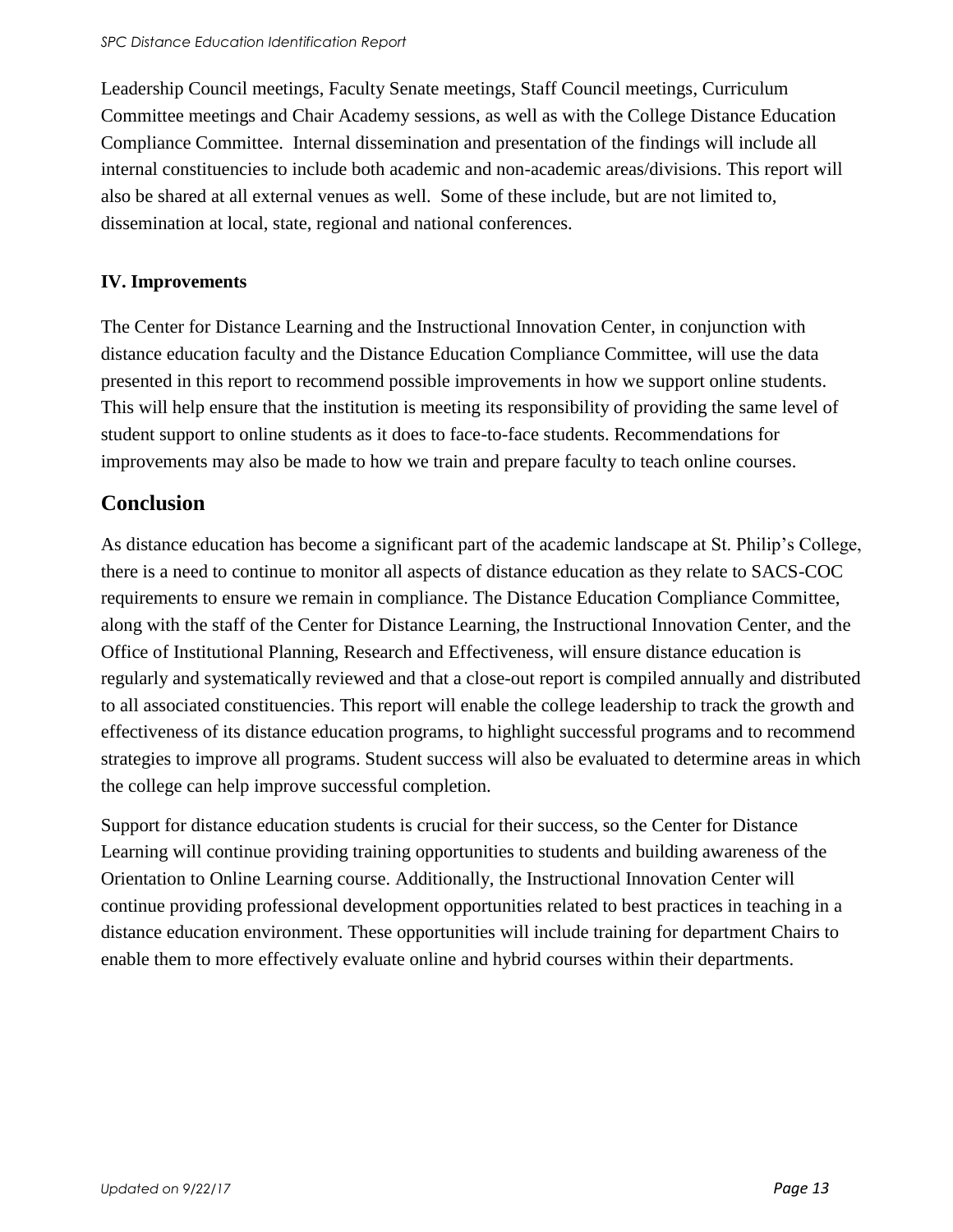Leadership Council meetings, Faculty Senate meetings, Staff Council meetings, Curriculum Committee meetings and Chair Academy sessions, as well as with the College Distance Education Compliance Committee. Internal dissemination and presentation of the findings will include all internal constituencies to include both academic and non-academic areas/divisions. This report will also be shared at all external venues as well. Some of these include, but are not limited to, dissemination at local, state, regional and national conferences.

### **IV. Improvements**

The Center for Distance Learning and the Instructional Innovation Center, in conjunction with distance education faculty and the Distance Education Compliance Committee, will use the data presented in this report to recommend possible improvements in how we support online students. This will help ensure that the institution is meeting its responsibility of providing the same level of student support to online students as it does to face-to-face students. Recommendations for improvements may also be made to how we train and prepare faculty to teach online courses.

### **Conclusion**

As distance education has become a significant part of the academic landscape at St. Philip's College, there is a need to continue to monitor all aspects of distance education as they relate to SACS-COC requirements to ensure we remain in compliance. The Distance Education Compliance Committee, along with the staff of the Center for Distance Learning, the Instructional Innovation Center, and the Office of Institutional Planning, Research and Effectiveness, will ensure distance education is regularly and systematically reviewed and that a close-out report is compiled annually and distributed to all associated constituencies. This report will enable the college leadership to track the growth and effectiveness of its distance education programs, to highlight successful programs and to recommend strategies to improve all programs. Student success will also be evaluated to determine areas in which the college can help improve successful completion.

Support for distance education students is crucial for their success, so the Center for Distance Learning will continue providing training opportunities to students and building awareness of the Orientation to Online Learning course. Additionally, the Instructional Innovation Center will continue providing professional development opportunities related to best practices in teaching in a distance education environment. These opportunities will include training for department Chairs to enable them to more effectively evaluate online and hybrid courses within their departments.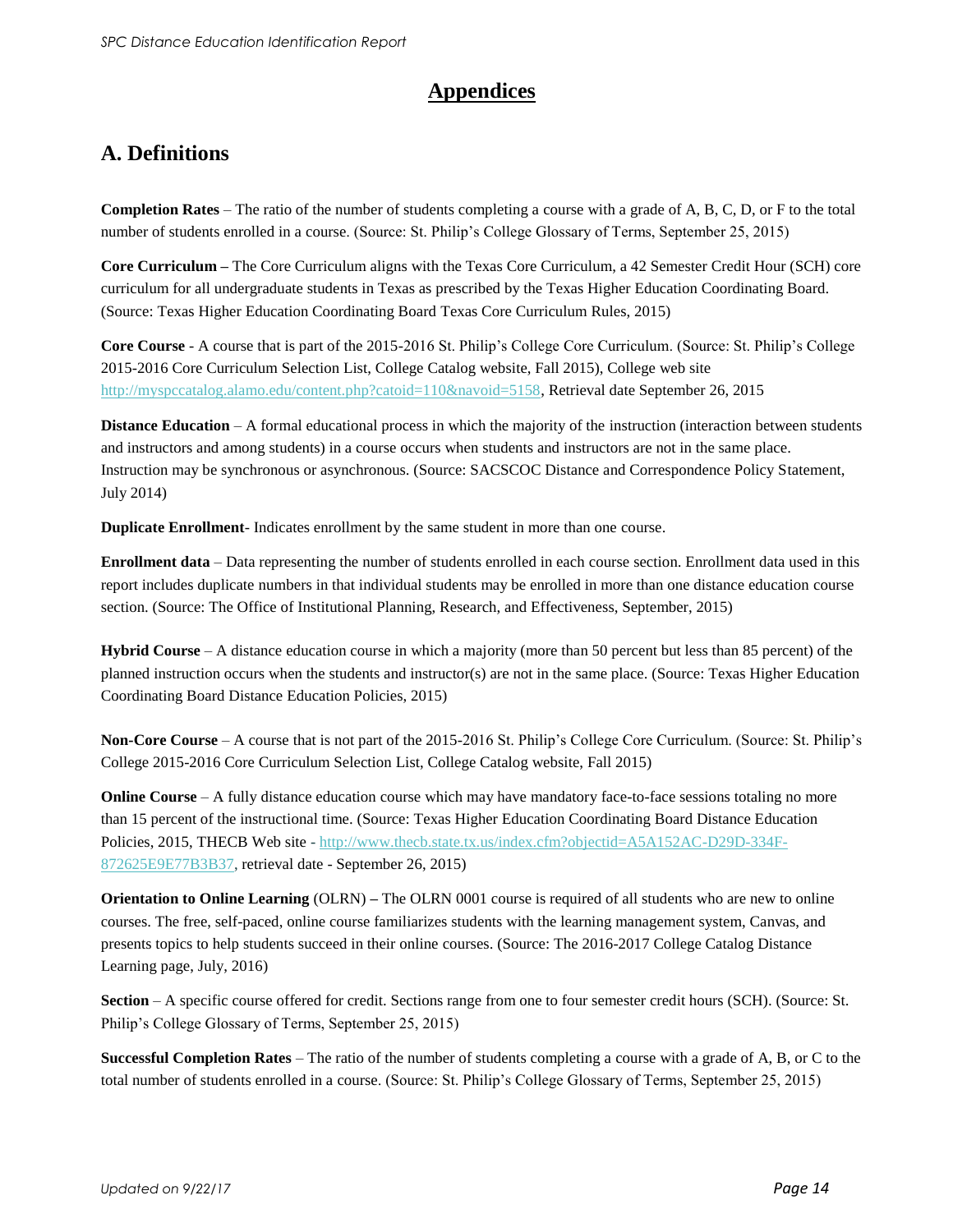### **Appendices**

### **A. Definitions**

**Completion Rates** – The ratio of the number of students completing a course with a grade of A, B, C, D, or F to the total number of students enrolled in a course. (Source: St. Philip's College Glossary of Terms, September 25, 2015)

**Core Curriculum –** The Core Curriculum aligns with the Texas Core Curriculum, a 42 Semester Credit Hour (SCH) core curriculum for all undergraduate students in Texas as prescribed by the Texas Higher Education Coordinating Board. (Source: Texas Higher Education Coordinating Board Texas Core Curriculum Rules, 2015)

**Core Course** - A course that is part of the 2015-2016 St. Philip's College Core Curriculum. (Source: St. Philip's College 2015-2016 Core Curriculum Selection List, College Catalog website, Fall 2015), College web site [http://myspccatalog.alamo.edu/content.php?catoid=110&navoid=5158,](http://myspccatalog.alamo.edu/content.php?catoid=110&navoid=5158) Retrieval date September 26, 2015

**Distance Education** – A formal educational process in which the majority of the instruction (interaction between students and instructors and among students) in a course occurs when students and instructors are not in the same place. Instruction may be synchronous or asynchronous. (Source: SACSCOC Distance and Correspondence Policy Statement, July 2014)

**Duplicate Enrollment**- Indicates enrollment by the same student in more than one course.

**Enrollment data** – Data representing the number of students enrolled in each course section. Enrollment data used in this report includes duplicate numbers in that individual students may be enrolled in more than one distance education course section. (Source: The Office of Institutional Planning, Research, and Effectiveness, September, 2015)

**Hybrid Course** – A distance education course in which a majority (more than 50 percent but less than 85 percent) of the planned instruction occurs when the students and instructor(s) are not in the same place. (Source: Texas Higher Education Coordinating Board Distance Education Policies, 2015)

**Non-Core Course** – A course that is not part of the 2015-2016 St. Philip's College Core Curriculum. (Source: St. Philip's College 2015-2016 Core Curriculum Selection List, College Catalog website, Fall 2015)

**Online Course** – A fully distance education course which may have mandatory face-to-face sessions totaling no more than 15 percent of the instructional time. (Source: Texas Higher Education Coordinating Board Distance Education Policies, 2015, THECB Web site - [http://www.thecb.state.tx.us/index.cfm?objectid=A5A152AC-D29D-334F-](http://www.thecb.state.tx.us/index.cfm?objectid=A5A152AC-D29D-334F-872625E9E77B3B37)[872625E9E77B3B37,](http://www.thecb.state.tx.us/index.cfm?objectid=A5A152AC-D29D-334F-872625E9E77B3B37) retrieval date - September 26, 2015)

**Orientation to Online Learning** (OLRN) **–** The OLRN 0001 course is required of all students who are new to online courses. The free, self-paced, online course familiarizes students with the learning management system, Canvas, and presents topics to help students succeed in their online courses. (Source: The 2016-2017 College Catalog Distance Learning page, July, 2016)

**Section** – A specific course offered for credit. Sections range from one to four semester credit hours (SCH). (Source: St. Philip's College Glossary of Terms, September 25, 2015)

**Successful Completion Rates** – The ratio of the number of students completing a course with a grade of A, B, or C to the total number of students enrolled in a course. (Source: St. Philip's College Glossary of Terms, September 25, 2015)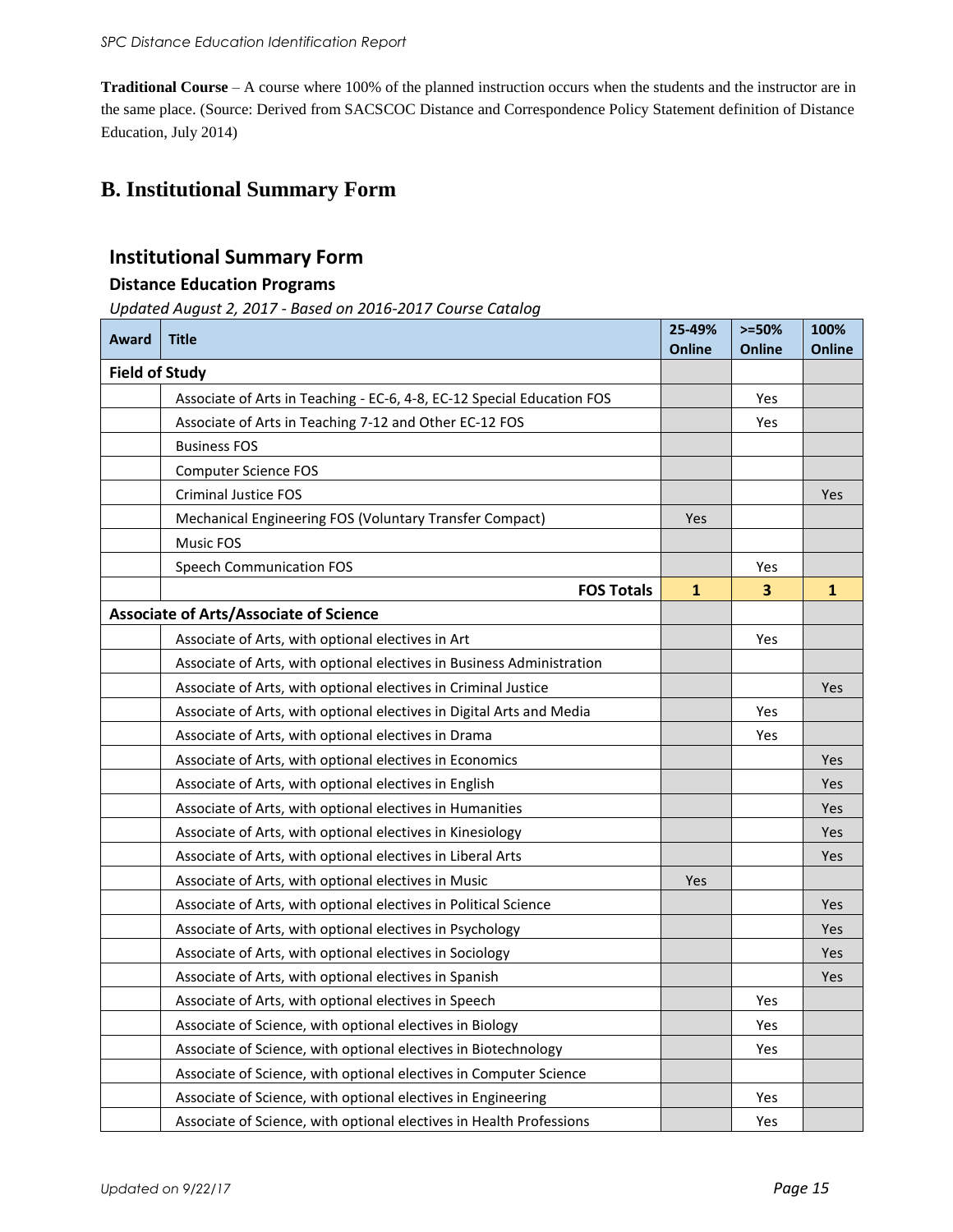**Traditional Course** – A course where 100% of the planned instruction occurs when the students and the instructor are in the same place. (Source: Derived from SACSCOC Distance and Correspondence Policy Statement definition of Distance Education, July 2014)

### **B. Institutional Summary Form**

#### **Institutional Summary Form**

#### **Distance Education Programs**

*Updated August 2, 2017 - Based on 2016-2017 Course Catalog*

| Award                 | <b>Title</b>                                                           | 25-49%<br><b>Online</b> | $>=50%$<br><b>Online</b> | 100%<br><b>Online</b> |
|-----------------------|------------------------------------------------------------------------|-------------------------|--------------------------|-----------------------|
| <b>Field of Study</b> |                                                                        |                         |                          |                       |
|                       | Associate of Arts in Teaching - EC-6, 4-8, EC-12 Special Education FOS |                         | Yes                      |                       |
|                       | Associate of Arts in Teaching 7-12 and Other EC-12 FOS                 |                         | Yes                      |                       |
|                       | <b>Business FOS</b>                                                    |                         |                          |                       |
|                       | <b>Computer Science FOS</b>                                            |                         |                          |                       |
|                       | <b>Criminal Justice FOS</b>                                            |                         |                          | Yes                   |
|                       | Mechanical Engineering FOS (Voluntary Transfer Compact)                | Yes                     |                          |                       |
|                       | <b>Music FOS</b>                                                       |                         |                          |                       |
|                       | <b>Speech Communication FOS</b>                                        |                         | Yes                      |                       |
|                       | <b>FOS Totals</b>                                                      | $\mathbf{1}$            | 3                        | 1                     |
|                       | <b>Associate of Arts/Associate of Science</b>                          |                         |                          |                       |
|                       | Associate of Arts, with optional electives in Art                      |                         | Yes                      |                       |
|                       | Associate of Arts, with optional electives in Business Administration  |                         |                          |                       |
|                       | Associate of Arts, with optional electives in Criminal Justice         |                         |                          | Yes                   |
|                       | Associate of Arts, with optional electives in Digital Arts and Media   |                         | Yes                      |                       |
|                       | Associate of Arts, with optional electives in Drama                    |                         | Yes                      |                       |
|                       | Associate of Arts, with optional electives in Economics                |                         |                          | Yes                   |
|                       | Associate of Arts, with optional electives in English                  |                         |                          | Yes                   |
|                       | Associate of Arts, with optional electives in Humanities               |                         |                          | Yes                   |
|                       | Associate of Arts, with optional electives in Kinesiology              |                         |                          | Yes                   |
|                       | Associate of Arts, with optional electives in Liberal Arts             |                         |                          | Yes                   |
|                       | Associate of Arts, with optional electives in Music                    | Yes                     |                          |                       |
|                       | Associate of Arts, with optional electives in Political Science        |                         |                          | Yes                   |
|                       | Associate of Arts, with optional electives in Psychology               |                         |                          | Yes                   |
|                       | Associate of Arts, with optional electives in Sociology                |                         |                          | Yes                   |
|                       | Associate of Arts, with optional electives in Spanish                  |                         |                          | Yes                   |
|                       | Associate of Arts, with optional electives in Speech                   |                         | Yes                      |                       |
|                       | Associate of Science, with optional electives in Biology               |                         | Yes                      |                       |
|                       | Associate of Science, with optional electives in Biotechnology         |                         | Yes                      |                       |
|                       | Associate of Science, with optional electives in Computer Science      |                         |                          |                       |
|                       | Associate of Science, with optional electives in Engineering           |                         | Yes                      |                       |
|                       | Associate of Science, with optional electives in Health Professions    |                         | Yes                      |                       |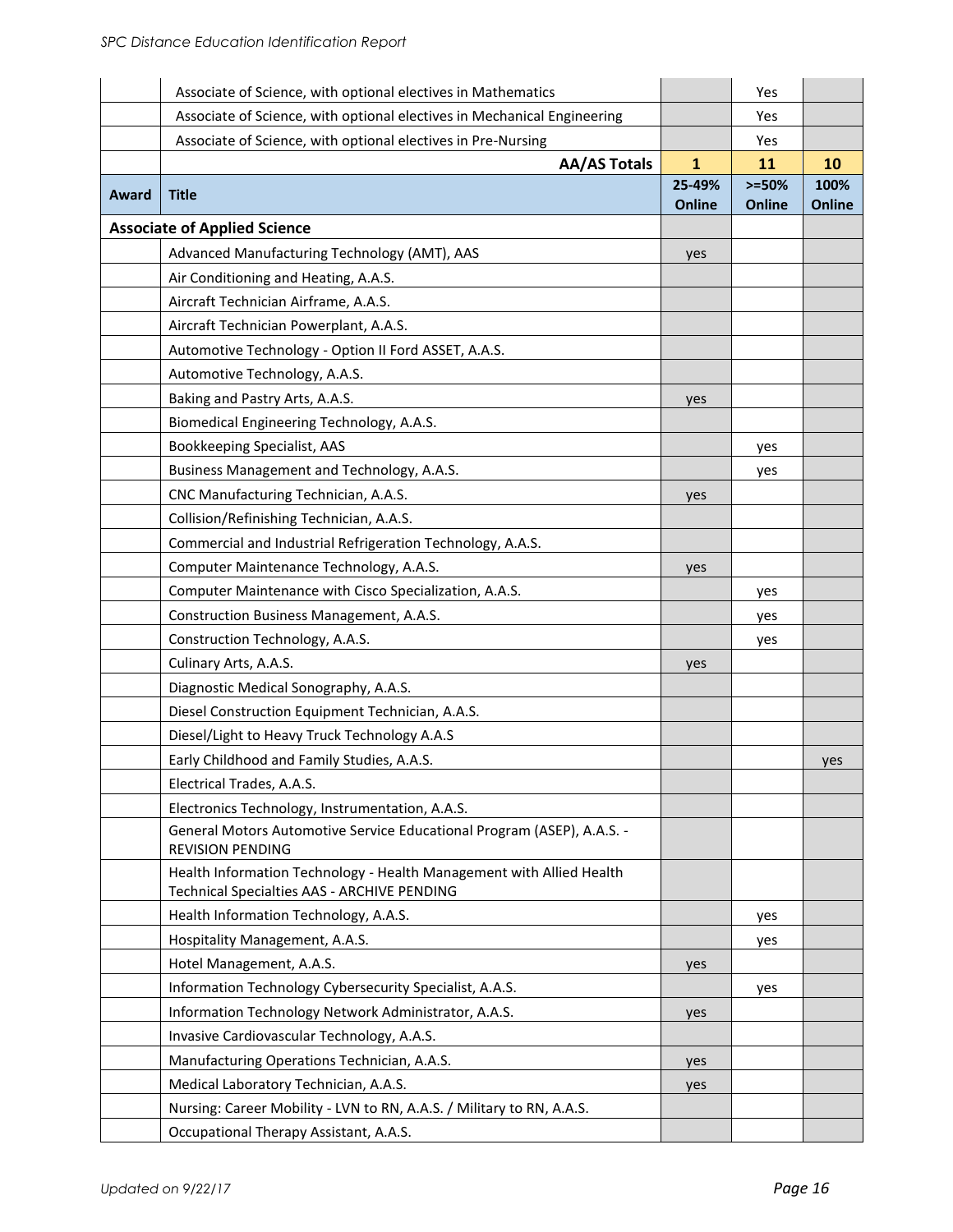|       | Associate of Science, with optional electives in Mathematics                                                        |               | Yes       |               |
|-------|---------------------------------------------------------------------------------------------------------------------|---------------|-----------|---------------|
|       | Associate of Science, with optional electives in Mechanical Engineering                                             |               | Yes       |               |
|       | Associate of Science, with optional electives in Pre-Nursing                                                        |               | Yes       |               |
|       | <b>AA/AS Totals</b>                                                                                                 | $\mathbf{1}$  | 11        | 10            |
| Award | <b>Title</b>                                                                                                        | 25-49%        | $> = 50%$ | 100%          |
|       |                                                                                                                     | <b>Online</b> | Online    | <b>Online</b> |
|       | <b>Associate of Applied Science</b>                                                                                 |               |           |               |
|       | Advanced Manufacturing Technology (AMT), AAS                                                                        | yes           |           |               |
|       | Air Conditioning and Heating, A.A.S.<br>Aircraft Technician Airframe, A.A.S.                                        |               |           |               |
|       | Aircraft Technician Powerplant, A.A.S.                                                                              |               |           |               |
|       | Automotive Technology - Option II Ford ASSET, A.A.S.                                                                |               |           |               |
|       | Automotive Technology, A.A.S.                                                                                       |               |           |               |
|       | Baking and Pastry Arts, A.A.S.                                                                                      |               |           |               |
|       | Biomedical Engineering Technology, A.A.S.                                                                           | yes           |           |               |
|       | Bookkeeping Specialist, AAS                                                                                         |               | yes       |               |
|       | Business Management and Technology, A.A.S.                                                                          |               | yes       |               |
|       | CNC Manufacturing Technician, A.A.S.                                                                                | yes           |           |               |
|       | Collision/Refinishing Technician, A.A.S.                                                                            |               |           |               |
|       | Commercial and Industrial Refrigeration Technology, A.A.S.                                                          |               |           |               |
|       | Computer Maintenance Technology, A.A.S.                                                                             | yes           |           |               |
|       | Computer Maintenance with Cisco Specialization, A.A.S.                                                              |               | yes       |               |
|       | Construction Business Management, A.A.S.                                                                            |               | yes       |               |
|       | Construction Technology, A.A.S.                                                                                     |               | yes       |               |
|       | Culinary Arts, A.A.S.                                                                                               | yes           |           |               |
|       | Diagnostic Medical Sonography, A.A.S.                                                                               |               |           |               |
|       | Diesel Construction Equipment Technician, A.A.S.                                                                    |               |           |               |
|       | Diesel/Light to Heavy Truck Technology A.A.S                                                                        |               |           |               |
|       | Early Childhood and Family Studies, A.A.S.                                                                          |               |           | yes           |
|       | Electrical Trades, A.A.S.                                                                                           |               |           |               |
|       | Electronics Technology, Instrumentation, A.A.S.                                                                     |               |           |               |
|       | General Motors Automotive Service Educational Program (ASEP), A.A.S. -<br><b>REVISION PENDING</b>                   |               |           |               |
|       | Health Information Technology - Health Management with Allied Health<br>Technical Specialties AAS - ARCHIVE PENDING |               |           |               |
|       | Health Information Technology, A.A.S.                                                                               |               | yes       |               |
|       | Hospitality Management, A.A.S.                                                                                      |               | yes       |               |
|       | Hotel Management, A.A.S.                                                                                            | yes           |           |               |
|       | Information Technology Cybersecurity Specialist, A.A.S.                                                             |               | yes       |               |
|       | Information Technology Network Administrator, A.A.S.                                                                | yes           |           |               |
|       | Invasive Cardiovascular Technology, A.A.S.                                                                          |               |           |               |
|       | Manufacturing Operations Technician, A.A.S.                                                                         | yes           |           |               |
|       | Medical Laboratory Technician, A.A.S.                                                                               | yes           |           |               |
|       | Nursing: Career Mobility - LVN to RN, A.A.S. / Military to RN, A.A.S.                                               |               |           |               |
|       | Occupational Therapy Assistant, A.A.S.                                                                              |               |           |               |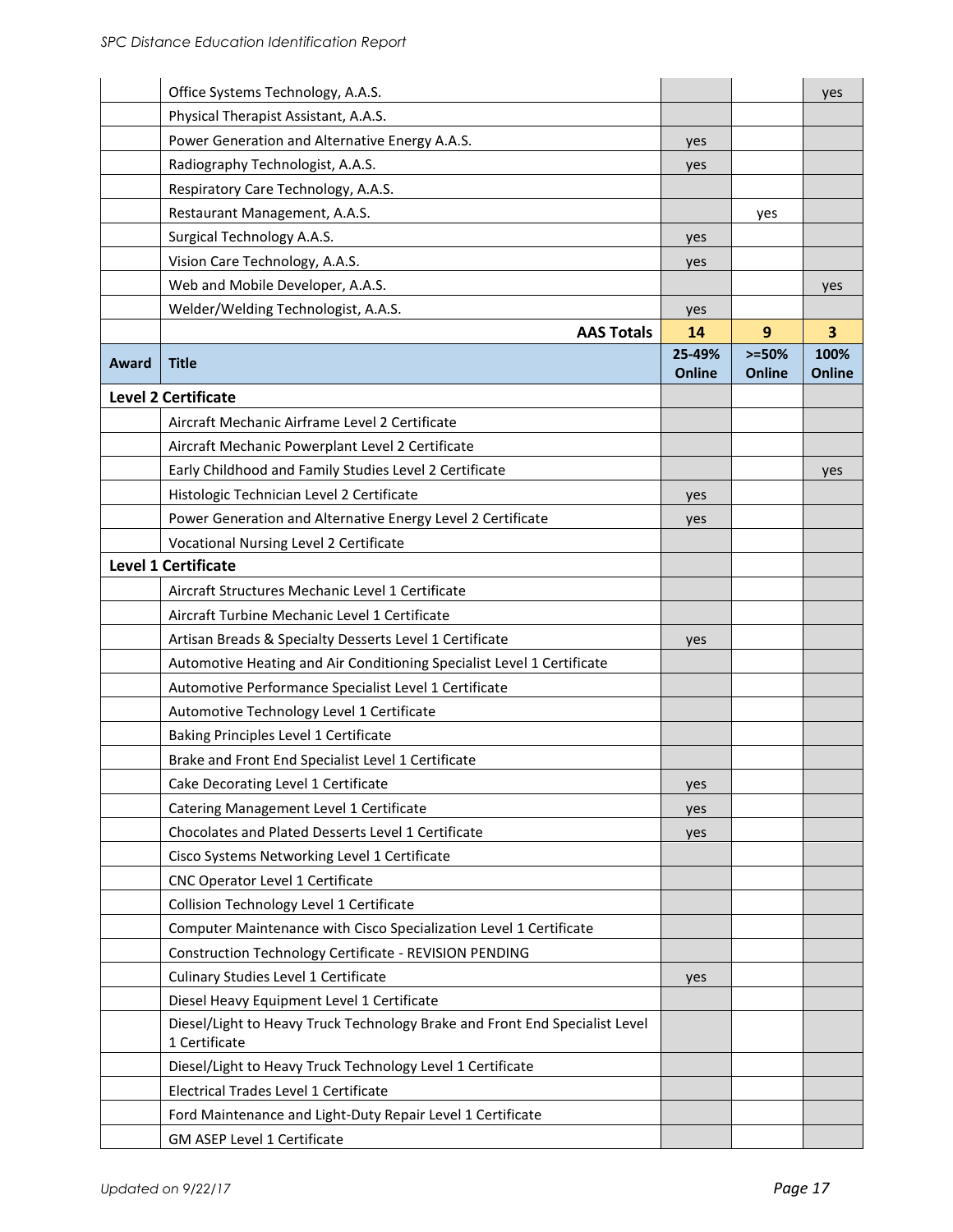|       | Office Systems Technology, A.A.S.                                                            |               |         | yes           |
|-------|----------------------------------------------------------------------------------------------|---------------|---------|---------------|
|       | Physical Therapist Assistant, A.A.S.                                                         |               |         |               |
|       | Power Generation and Alternative Energy A.A.S.                                               | yes           |         |               |
|       | Radiography Technologist, A.A.S.                                                             | yes           |         |               |
|       | Respiratory Care Technology, A.A.S.                                                          |               |         |               |
|       | Restaurant Management, A.A.S.                                                                |               | yes     |               |
|       | Surgical Technology A.A.S.                                                                   | yes           |         |               |
|       | Vision Care Technology, A.A.S.                                                               | yes           |         |               |
|       | Web and Mobile Developer, A.A.S.                                                             |               |         | yes           |
|       | Welder/Welding Technologist, A.A.S.                                                          | yes           |         |               |
|       | <b>AAS Totals</b>                                                                            | 14            | 9       | 3             |
|       |                                                                                              | 25-49%        | $>=50%$ | 100%          |
| Award | <b>Title</b>                                                                                 | <b>Online</b> | Online  | <b>Online</b> |
|       | <b>Level 2 Certificate</b>                                                                   |               |         |               |
|       | Aircraft Mechanic Airframe Level 2 Certificate                                               |               |         |               |
|       | Aircraft Mechanic Powerplant Level 2 Certificate                                             |               |         |               |
|       | Early Childhood and Family Studies Level 2 Certificate                                       |               |         | yes           |
|       | Histologic Technician Level 2 Certificate                                                    | yes           |         |               |
|       | Power Generation and Alternative Energy Level 2 Certificate                                  | yes           |         |               |
|       | Vocational Nursing Level 2 Certificate                                                       |               |         |               |
|       | <b>Level 1 Certificate</b>                                                                   |               |         |               |
|       | Aircraft Structures Mechanic Level 1 Certificate                                             |               |         |               |
|       | Aircraft Turbine Mechanic Level 1 Certificate                                                |               |         |               |
|       | Artisan Breads & Specialty Desserts Level 1 Certificate                                      | yes           |         |               |
|       | Automotive Heating and Air Conditioning Specialist Level 1 Certificate                       |               |         |               |
|       | Automotive Performance Specialist Level 1 Certificate                                        |               |         |               |
|       | Automotive Technology Level 1 Certificate                                                    |               |         |               |
|       | Baking Principles Level 1 Certificate                                                        |               |         |               |
|       | Brake and Front End Specialist Level 1 Certificate                                           |               |         |               |
|       | Cake Decorating Level 1 Certificate                                                          | yes           |         |               |
|       | Catering Management Level 1 Certificate                                                      | yes           |         |               |
|       | Chocolates and Plated Desserts Level 1 Certificate                                           | yes           |         |               |
|       | Cisco Systems Networking Level 1 Certificate                                                 |               |         |               |
|       | CNC Operator Level 1 Certificate                                                             |               |         |               |
|       | Collision Technology Level 1 Certificate                                                     |               |         |               |
|       | Computer Maintenance with Cisco Specialization Level 1 Certificate                           |               |         |               |
|       | Construction Technology Certificate - REVISION PENDING                                       |               |         |               |
|       | Culinary Studies Level 1 Certificate                                                         | yes           |         |               |
|       | Diesel Heavy Equipment Level 1 Certificate                                                   |               |         |               |
|       | Diesel/Light to Heavy Truck Technology Brake and Front End Specialist Level<br>1 Certificate |               |         |               |
|       | Diesel/Light to Heavy Truck Technology Level 1 Certificate                                   |               |         |               |
|       | Electrical Trades Level 1 Certificate                                                        |               |         |               |
|       | Ford Maintenance and Light-Duty Repair Level 1 Certificate                                   |               |         |               |
|       | GM ASEP Level 1 Certificate                                                                  |               |         |               |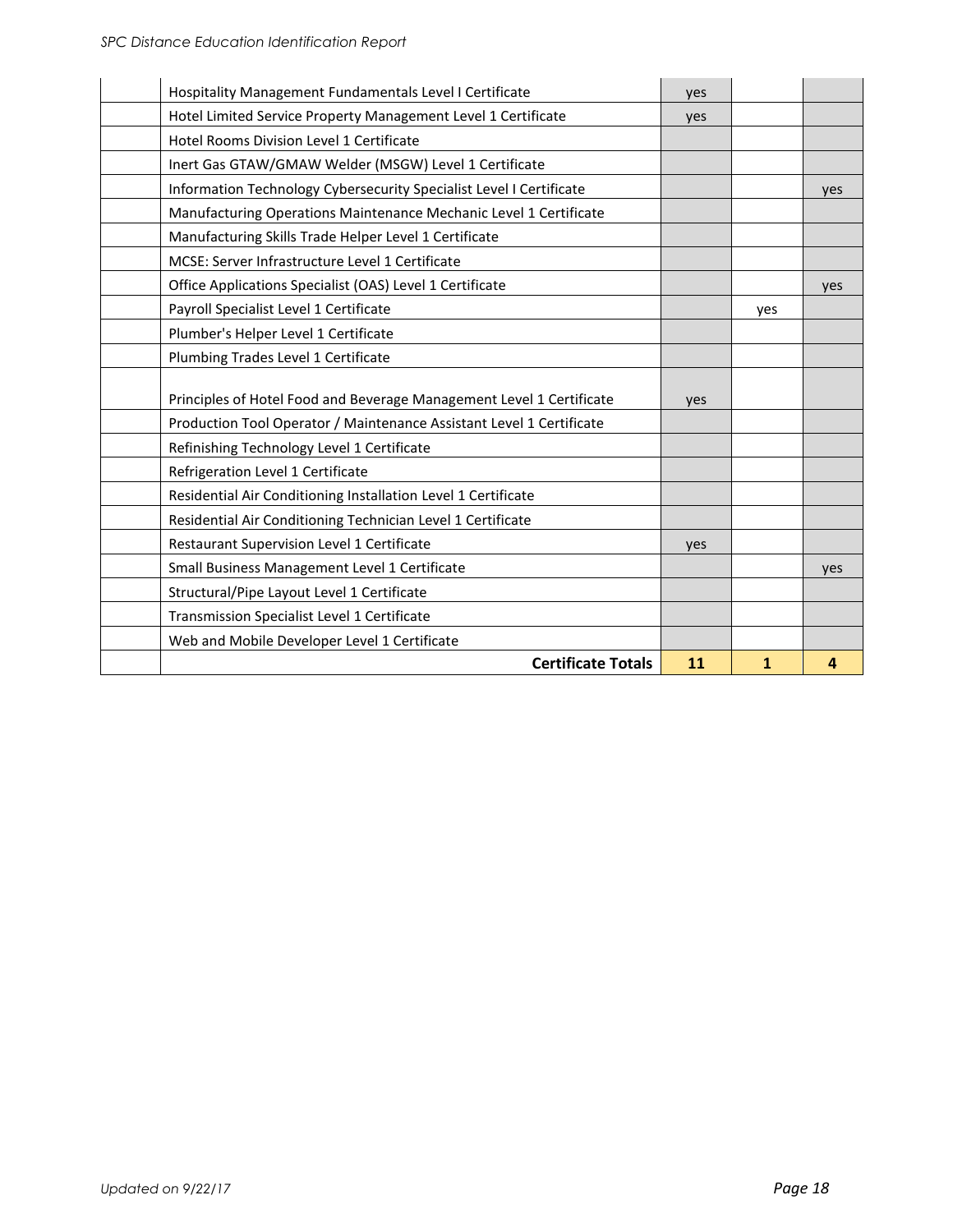| Hospitality Management Fundamentals Level I Certificate              |                           | yes |     |     |
|----------------------------------------------------------------------|---------------------------|-----|-----|-----|
| Hotel Limited Service Property Management Level 1 Certificate        |                           | yes |     |     |
| Hotel Rooms Division Level 1 Certificate                             |                           |     |     |     |
| Inert Gas GTAW/GMAW Welder (MSGW) Level 1 Certificate                |                           |     |     |     |
| Information Technology Cybersecurity Specialist Level I Certificate  |                           |     |     | yes |
| Manufacturing Operations Maintenance Mechanic Level 1 Certificate    |                           |     |     |     |
| Manufacturing Skills Trade Helper Level 1 Certificate                |                           |     |     |     |
| MCSE: Server Infrastructure Level 1 Certificate                      |                           |     |     |     |
| Office Applications Specialist (OAS) Level 1 Certificate             |                           |     |     | yes |
| Payroll Specialist Level 1 Certificate                               |                           |     | yes |     |
| Plumber's Helper Level 1 Certificate                                 |                           |     |     |     |
| Plumbing Trades Level 1 Certificate                                  |                           |     |     |     |
| Principles of Hotel Food and Beverage Management Level 1 Certificate |                           | yes |     |     |
| Production Tool Operator / Maintenance Assistant Level 1 Certificate |                           |     |     |     |
| Refinishing Technology Level 1 Certificate                           |                           |     |     |     |
| Refrigeration Level 1 Certificate                                    |                           |     |     |     |
| Residential Air Conditioning Installation Level 1 Certificate        |                           |     |     |     |
| Residential Air Conditioning Technician Level 1 Certificate          |                           |     |     |     |
| Restaurant Supervision Level 1 Certificate                           |                           | yes |     |     |
| Small Business Management Level 1 Certificate                        |                           |     |     | yes |
| Structural/Pipe Layout Level 1 Certificate                           |                           |     |     |     |
| Transmission Specialist Level 1 Certificate                          |                           |     |     |     |
| Web and Mobile Developer Level 1 Certificate                         |                           |     |     |     |
|                                                                      | <b>Certificate Totals</b> | 11  | 1   | 4   |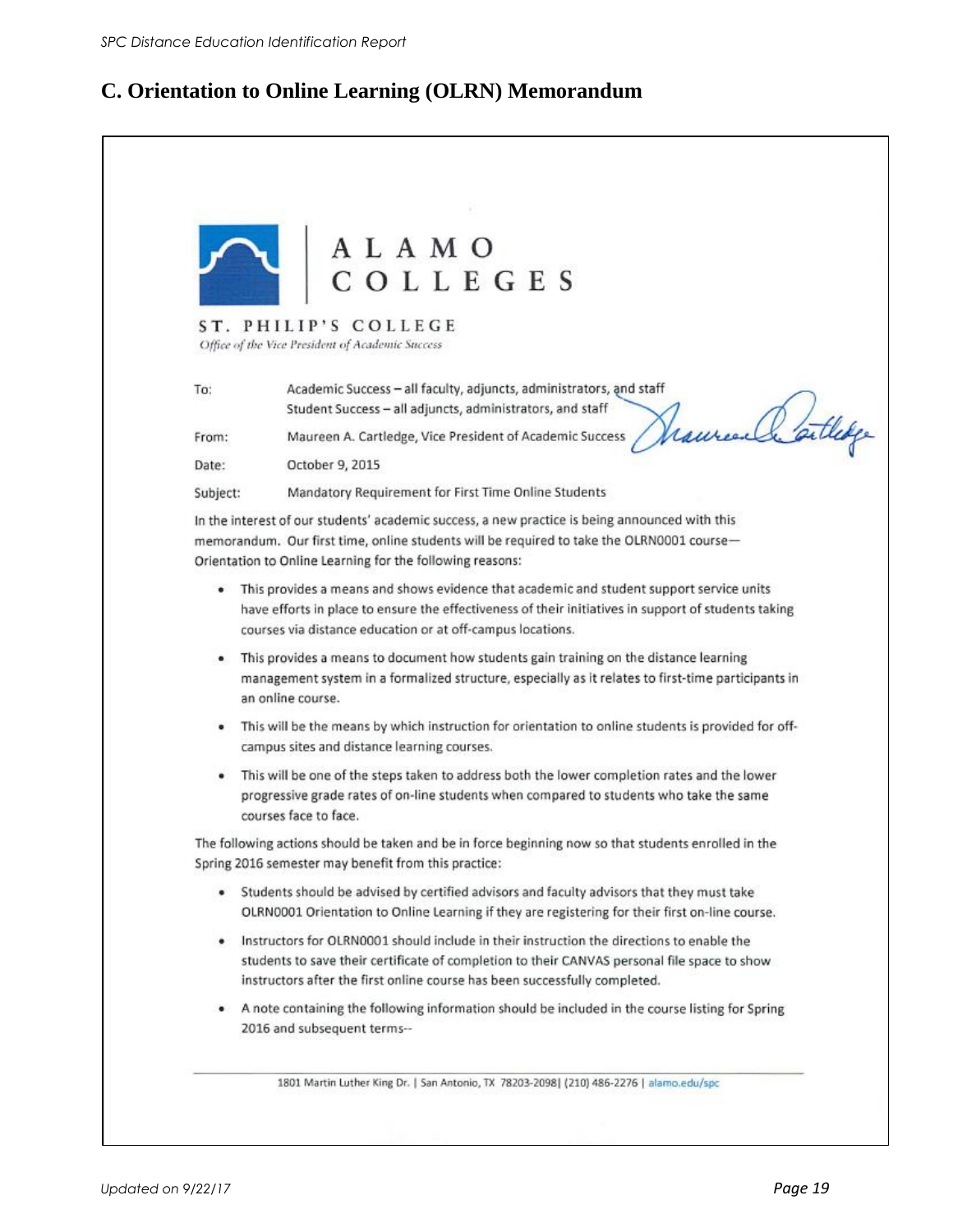### **C. Orientation to Online Learning (OLRN) Memorandum**

|          | ALAMO<br>COLLEGES                                                                                                                                                                                                                                                         |
|----------|---------------------------------------------------------------------------------------------------------------------------------------------------------------------------------------------------------------------------------------------------------------------------|
|          |                                                                                                                                                                                                                                                                           |
|          | ST. PHILIP'S COLLEGE<br>Office of the Vice President of Academic Success                                                                                                                                                                                                  |
| To:      | Academic Success - all faculty, adjuncts, administrators, and staff<br>Student Success - all adjuncts, administrators, and staff                                                                                                                                          |
| From:    | Maureen A. Cartledge, Vice President of Academic Success                                                                                                                                                                                                                  |
| Date:    | October 9, 2015                                                                                                                                                                                                                                                           |
| Subject: | Mandatory Requirement for First Time Online Students                                                                                                                                                                                                                      |
|          | In the interest of our students' academic success, a new practice is being announced with this<br>memorandum. Our first time, online students will be required to take the OLRN0001 course-<br>Orientation to Online Learning for the following reasons:                  |
|          | This provides a means and shows evidence that academic and student support service units<br>have efforts in place to ensure the effectiveness of their initiatives in support of students taking<br>courses via distance education or at off-campus locations.            |
|          | . This provides a means to document how students gain training on the distance learning<br>management system in a formalized structure, especially as it relates to first-time participants in<br>an online course.                                                       |
| ٠        | This will be the means by which instruction for orientation to online students is provided for off-<br>campus sites and distance learning courses.                                                                                                                        |
|          | This will be one of the steps taken to address both the lower completion rates and the lower<br>progressive grade rates of on-line students when compared to students who take the same<br>courses face to face.                                                          |
|          | The following actions should be taken and be in force beginning now so that students enrolled in the<br>Spring 2016 semester may benefit from this practice:                                                                                                              |
|          | . Students should be advised by certified advisors and faculty advisors that they must take<br>OLRN0001 Orientation to Online Learning if they are registering for their first on-line course.                                                                            |
|          | . Instructors for OLRN0001 should include in their instruction the directions to enable the<br>students to save their certificate of completion to their CANVAS personal file space to show<br>instructors after the first online course has been successfully completed. |
|          | . A note containing the following information should be included in the course listing for Spring                                                                                                                                                                         |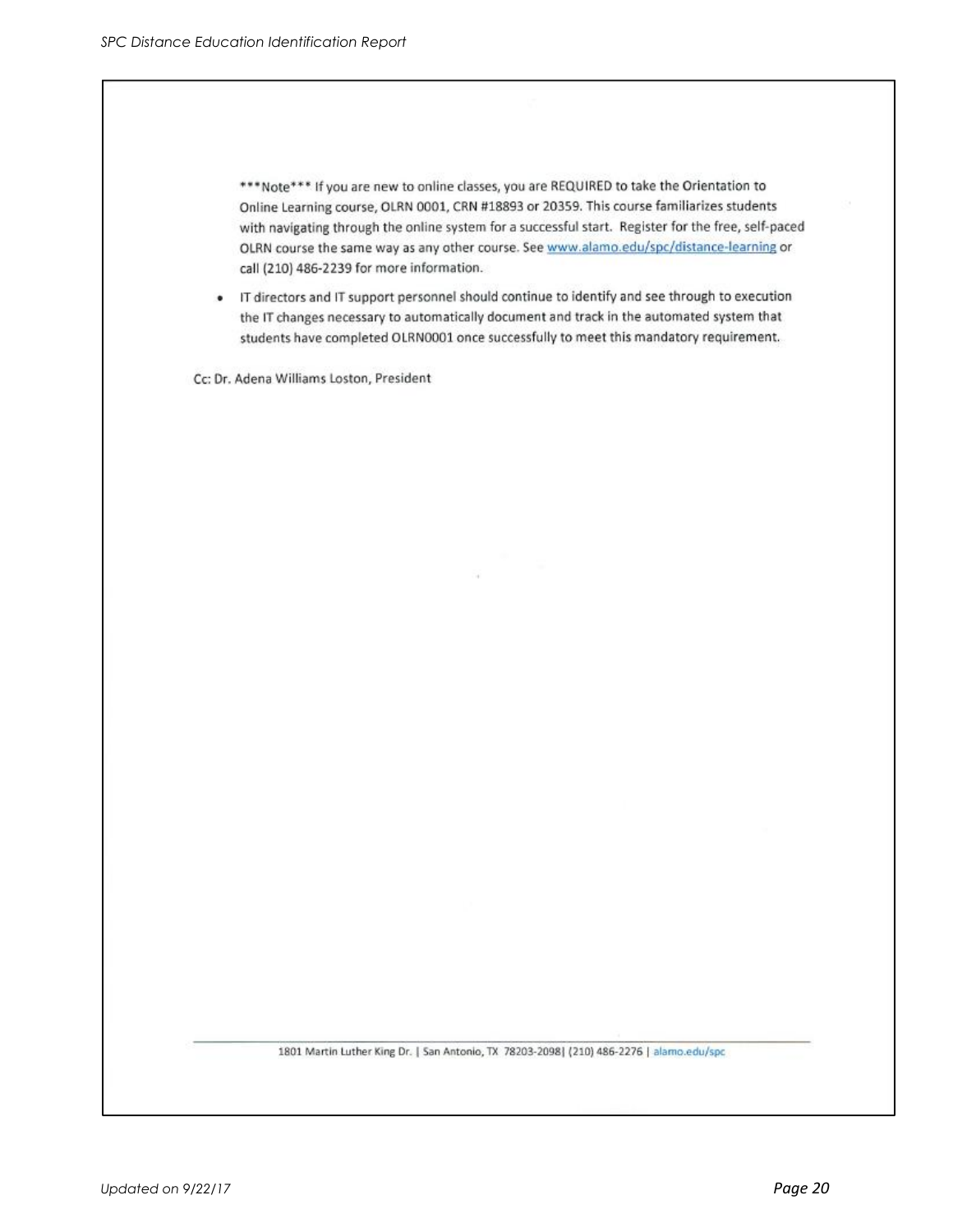\*\*\*Note\*\*\* If you are new to online classes, you are REQUIRED to take the Orientation to Online Learning course, OLRN 0001, CRN #18893 or 20359. This course familiarizes students with navigating through the online system for a successful start. Register for the free, self-paced OLRN course the same way as any other course. See www.alamo.edu/spc/distance-learning or call (210) 486-2239 for more information.

• IT directors and IT support personnel should continue to identify and see through to execution the IT changes necessary to automatically document and track in the automated system that students have completed OLRN0001 once successfully to meet this mandatory requirement.

Cc: Dr. Adena Williams Loston, President

1801 Martin Luther King Dr. | San Antonio, TX 78203-2098| (210) 486-2276 | alamo.edu/spc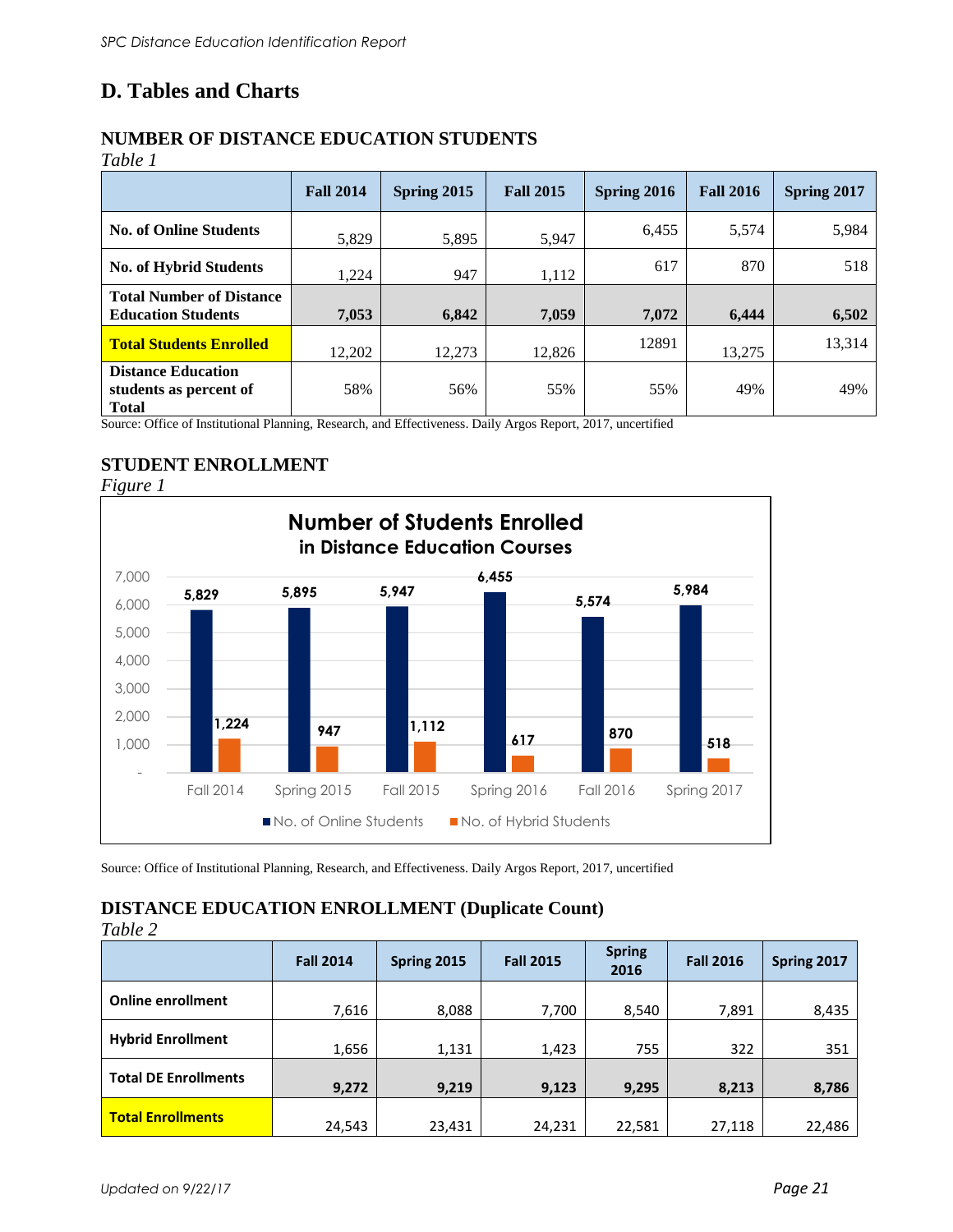### **D. Tables and Charts**

### **NUMBER OF DISTANCE EDUCATION STUDENTS**

| an |
|----|
|----|

|                                                                     | <b>Fall 2014</b> | Spring 2015 | <b>Fall 2015</b> | Spring 2016 | <b>Fall 2016</b> | Spring 2017 |
|---------------------------------------------------------------------|------------------|-------------|------------------|-------------|------------------|-------------|
| <b>No. of Online Students</b>                                       | 5,829            | 5,895       | 5,947            | 6,455       | 5,574            | 5,984       |
| <b>No. of Hybrid Students</b>                                       | 1,224            | 947         | 1,112            | 617         | 870              | 518         |
| <b>Total Number of Distance</b><br><b>Education Students</b>        | 7,053            | 6,842       | 7,059            | 7,072       | 6,444            | 6,502       |
| <b>Total Students Enrolled</b>                                      | 12,202           | 12,273      | 12,826           | 12891       | 13,275           | 13,314      |
| <b>Distance Education</b><br>students as percent of<br><b>Total</b> | 58%              | 56%         | 55%              | 55%         | 49%              | 49%         |

Source: Office of Institutional Planning, Research, and Effectiveness. Daily Argos Report, 2017, uncertified

### **STUDENT ENROLLMENT**

*Figure 1*  **5,829 5,895 5,947 6,455 5,574 5,984 1,224 947 1,112 <sup>617</sup> <sup>870</sup> <sup>518</sup>** - 1,000 2,000 3,000 4,000 5,000 6,000 7,000 Fall 2014 Spring 2015 Fall 2015 Spring 2016 Fall 2016 Spring 2017 **Number of Students Enrolled in Distance Education Courses** No. of Online Students No. of Hybrid Students

Source: Office of Institutional Planning, Research, and Effectiveness. Daily Argos Report, 2017, uncertified

### **DISTANCE EDUCATION ENROLLMENT (Duplicate Count)**

*Table 2*

|                             | <b>Fall 2014</b> | Spring 2015 | <b>Fall 2015</b> | <b>Spring</b><br>2016 | <b>Fall 2016</b> | Spring 2017 |
|-----------------------------|------------------|-------------|------------------|-----------------------|------------------|-------------|
| <b>Online enrollment</b>    | 7,616            | 8,088       | 7,700            | 8,540                 | 7,891            | 8,435       |
| <b>Hybrid Enrollment</b>    | 1,656            | 1,131       | 1,423            | 755                   | 322              | 351         |
| <b>Total DE Enrollments</b> | 9,272            | 9,219       | 9,123            | 9,295                 | 8,213            | 8,786       |
| <b>Total Enrollments</b>    | 24,543           | 23,431      | 24,231           | 22,581                | 27,118           | 22,486      |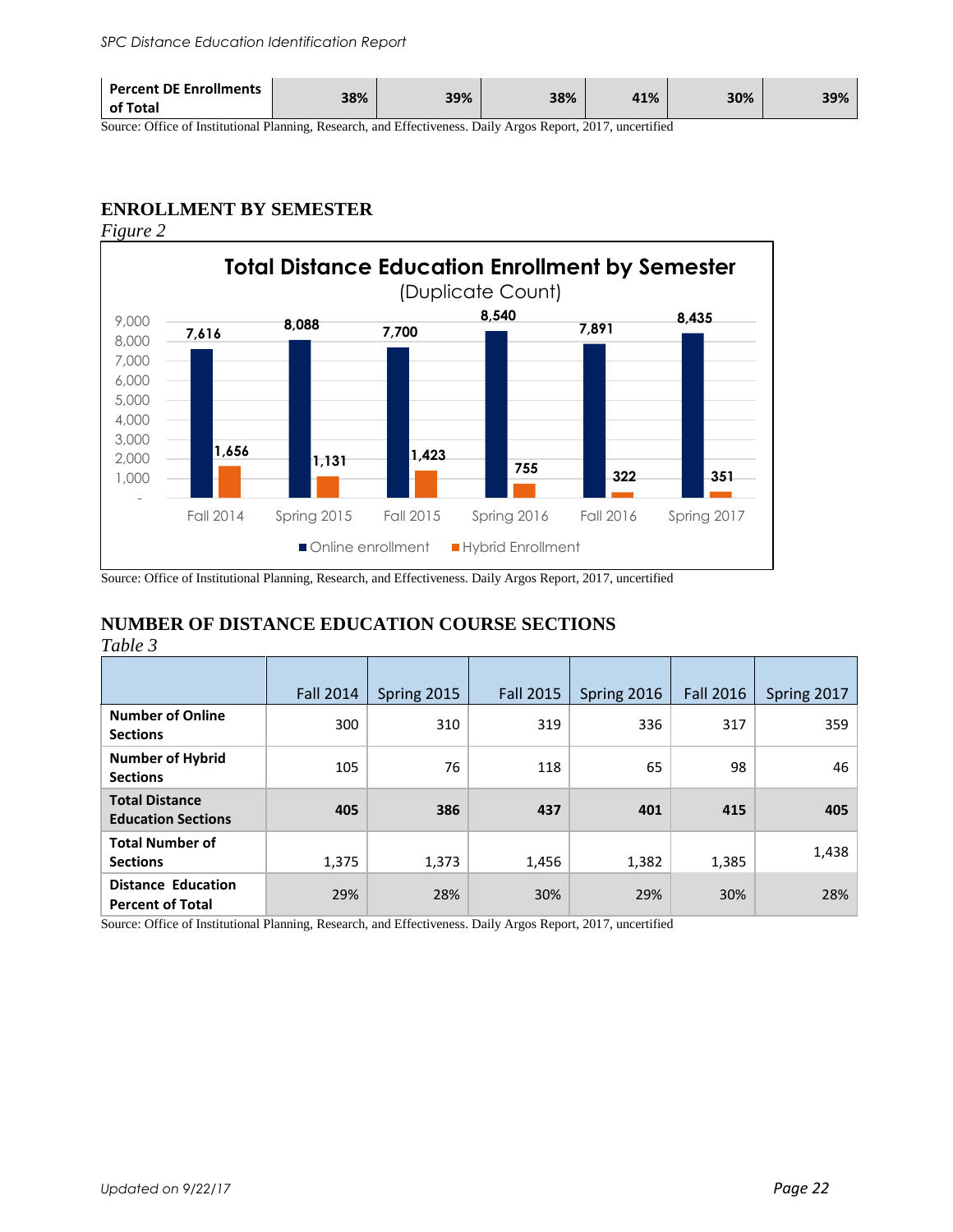| <b>Percent DE Enrollments</b><br>38%<br>of Total | 39% | 38% | 41% | 30% | 39% |
|--------------------------------------------------|-----|-----|-----|-----|-----|
|--------------------------------------------------|-----|-----|-----|-----|-----|

Source: Office of Institutional Planning, Research, and Effectiveness. Daily Argos Report, 2017, uncertified

### **ENROLLMENT BY SEMESTER**

*Figure 2* 



Source: Office of Institutional Planning, Research, and Effectiveness. Daily Argos Report, 2017, uncertified

### **NUMBER OF DISTANCE EDUCATION COURSE SECTIONS**

*Table 3*

|                                                      | <b>Fall 2014</b> | Spring 2015 | <b>Fall 2015</b> | Spring 2016 | <b>Fall 2016</b> | Spring 2017 |
|------------------------------------------------------|------------------|-------------|------------------|-------------|------------------|-------------|
| <b>Number of Online</b><br><b>Sections</b>           | 300              | 310         | 319              | 336         | 317              | 359         |
| <b>Number of Hybrid</b><br><b>Sections</b>           | 105              | 76          | 118              | 65          | 98               | 46          |
| <b>Total Distance</b><br><b>Education Sections</b>   | 405              | 386         | 437              | 401         | 415              | 405         |
| <b>Total Number of</b><br><b>Sections</b>            | 1,375            | 1,373       | 1,456            | 1,382       | 1,385            | 1,438       |
| <b>Distance Education</b><br><b>Percent of Total</b> | 29%              | 28%         | 30%              | 29%         | 30%              | 28%         |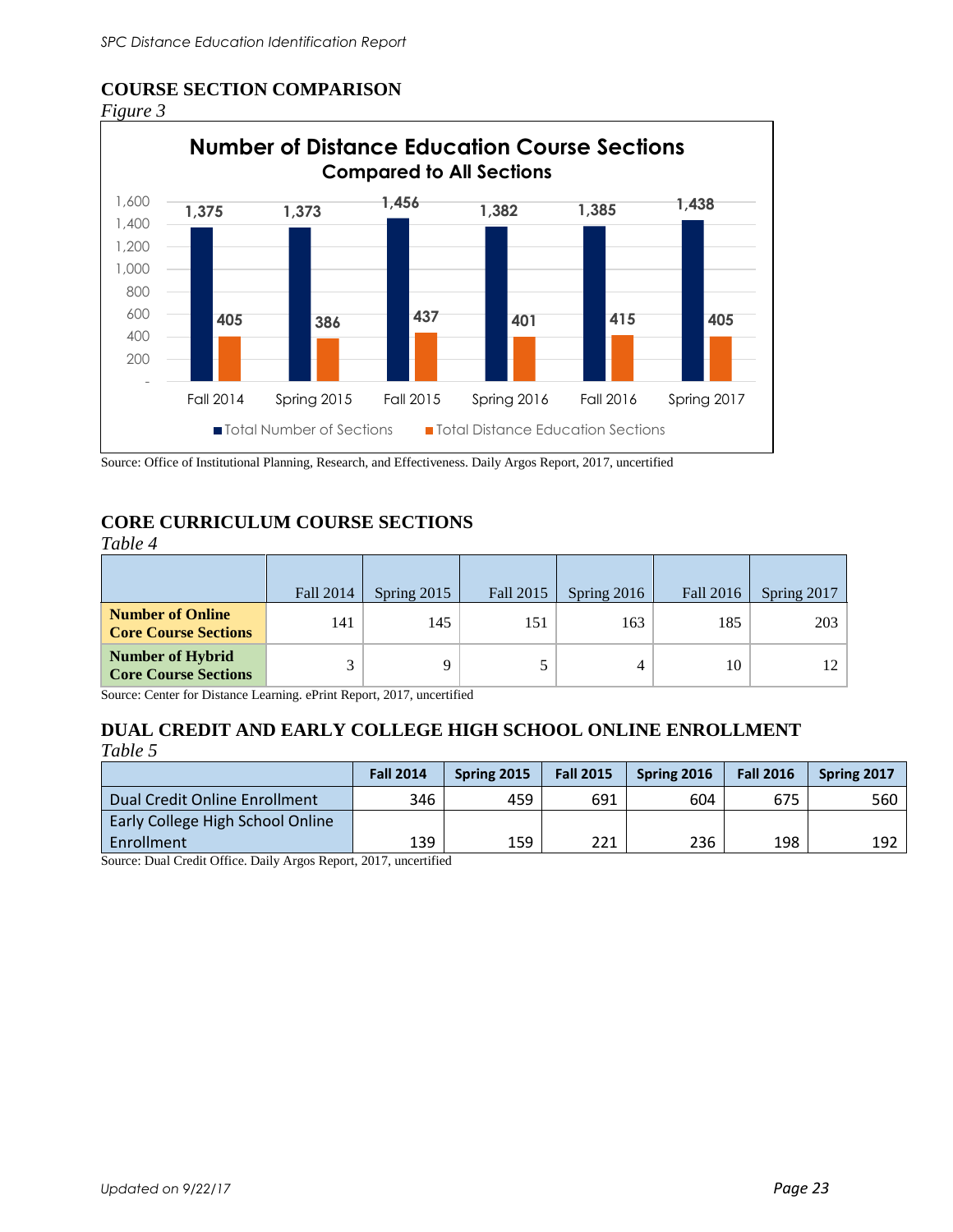### **COURSE SECTION COMPARISON**





Source: Office of Institutional Planning, Research, and Effectiveness. Daily Argos Report, 2017, uncertified

### **CORE CURRICULUM COURSE SECTIONS**

| apte |  |
|------|--|
|      |  |

|                                                        | Fall 2014 | Spring 2015 | Fall 2015 | Spring $2016$ | Fall 2016 | Spring 2017 |
|--------------------------------------------------------|-----------|-------------|-----------|---------------|-----------|-------------|
| <b>Number of Online</b><br><b>Core Course Sections</b> | 141       | 145         | 151       | 163           | 185       | 203         |
| <b>Number of Hybrid</b><br><b>Core Course Sections</b> |           |             |           | 4             | 10        |             |

Source: Center for Distance Learning. ePrint Report, 2017, uncertified

### **DUAL CREDIT AND EARLY COLLEGE HIGH SCHOOL ONLINE ENROLLMENT** *Table 5*

|                                  | <b>Fall 2014</b> | Spring 2015 | <b>Fall 2015</b> | Spring 2016 | <b>Fall 2016</b> | Spring 2017 |
|----------------------------------|------------------|-------------|------------------|-------------|------------------|-------------|
| Dual Credit Online Enrollment    | 346              | 459         | 691              | 604         | 675              | 560         |
| Early College High School Online |                  |             |                  |             |                  |             |
| Enrollment                       | 139              | 159         | 221              | 236         | 198              | 192         |

Source: Dual Credit Office. Daily Argos Report, 2017, uncertified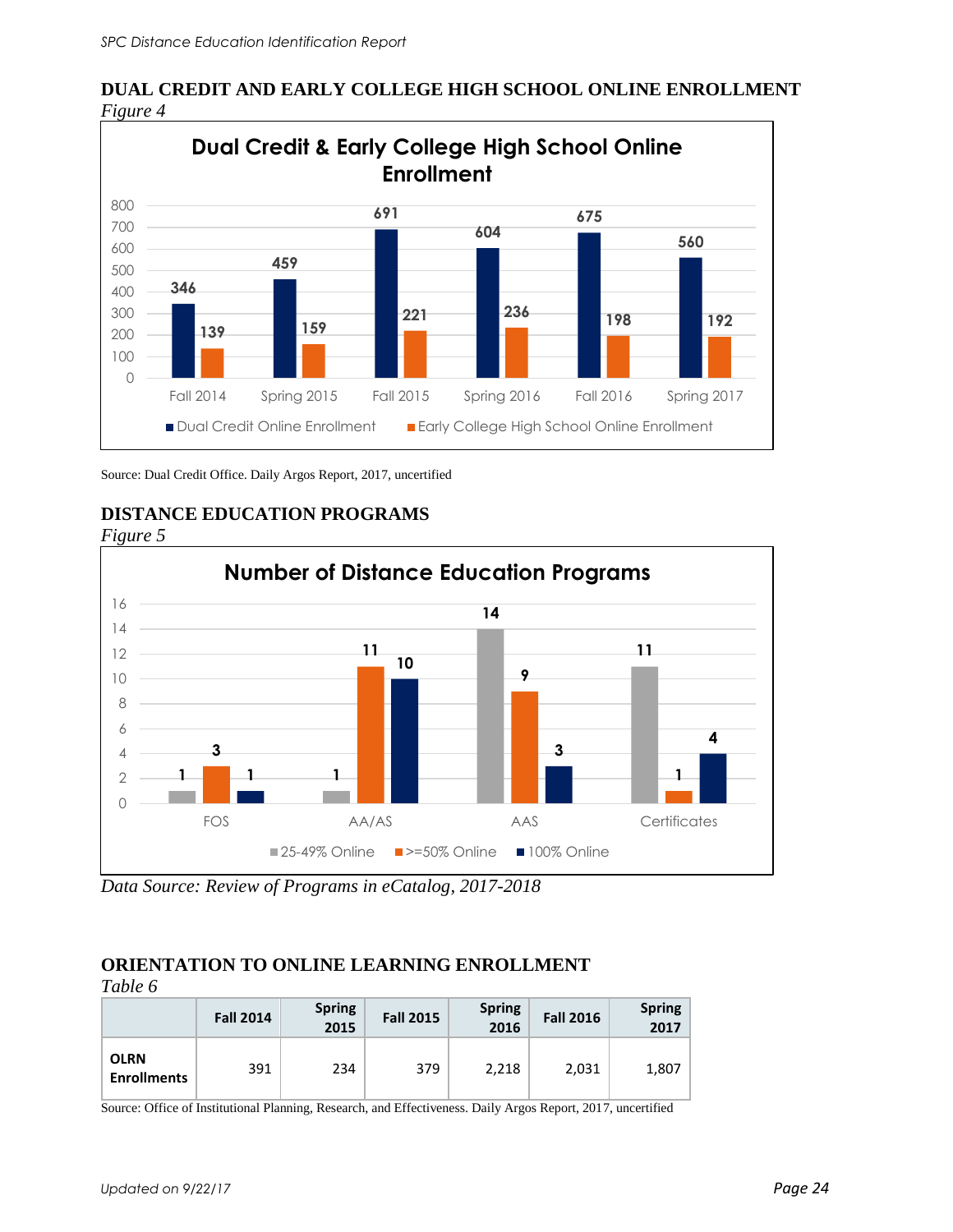

**DUAL CREDIT AND EARLY COLLEGE HIGH SCHOOL ONLINE ENROLLMENT** *Figure 4* 

Source: Dual Credit Office. Daily Argos Report, 2017, uncertified



**DISTANCE EDUCATION PROGRAMS** 

*Data Source: Review of Programs in eCatalog, 2017-2018*

#### **ORIENTATION TO ONLINE LEARNING ENROLLMENT**  $T_{a}l_{b}l_{c}l_{d}$

| <i>Lable</i> 0                    |                  |                       |                  |                |                  |                       |
|-----------------------------------|------------------|-----------------------|------------------|----------------|------------------|-----------------------|
|                                   | <b>Fall 2014</b> | <b>Spring</b><br>2015 | <b>Fall 2015</b> | Spring<br>2016 | <b>Fall 2016</b> | <b>Spring</b><br>2017 |
| <b>OLRN</b><br><b>Enrollments</b> | 391              | 234                   | 379              | 2,218          | 2,031            | 1,807                 |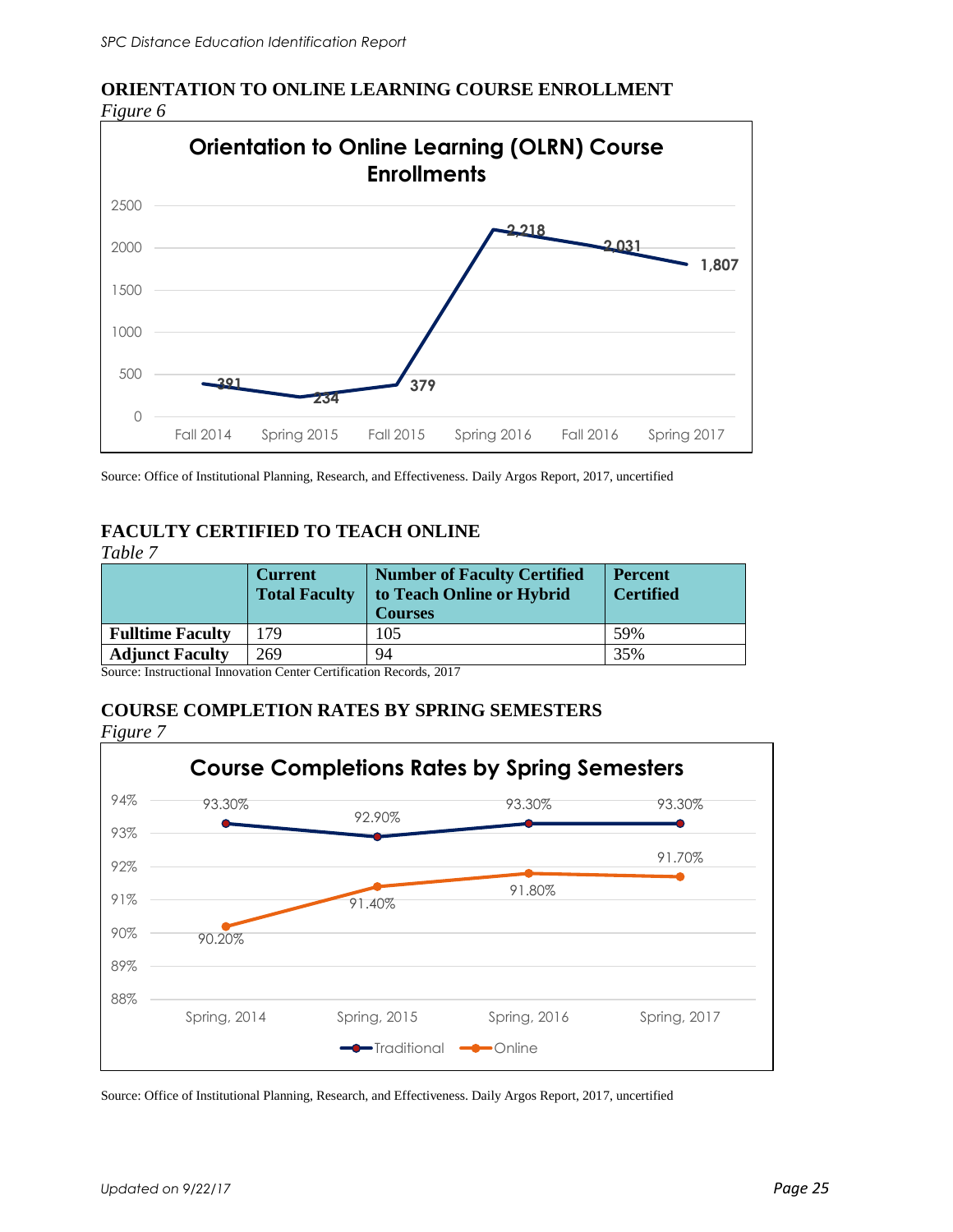

## **ORIENTATION TO ONLINE LEARNING COURSE ENROLLMENT**

Source: Office of Institutional Planning, Research, and Effectiveness. Daily Argos Report, 2017, uncertified

### **FACULTY CERTIFIED TO TEACH ONLINE**

*Table 7*

|                         | <b>Current</b><br><b>Total Faculty</b> | <b>Number of Faculty Certified</b><br>to Teach Online or Hybrid<br><b>Courses</b> | <b>Percent</b><br><b>Certified</b> |
|-------------------------|----------------------------------------|-----------------------------------------------------------------------------------|------------------------------------|
| <b>Fulltime Faculty</b> | 79                                     | 105                                                                               | 59%                                |
| <b>Adjunct Faculty</b>  | 269                                    | 94                                                                                | 35%                                |

Source: Instructional Innovation Center Certification Records, 2017

### **COURSE COMPLETION RATES BY SPRING SEMESTERS**

*Figure 7*

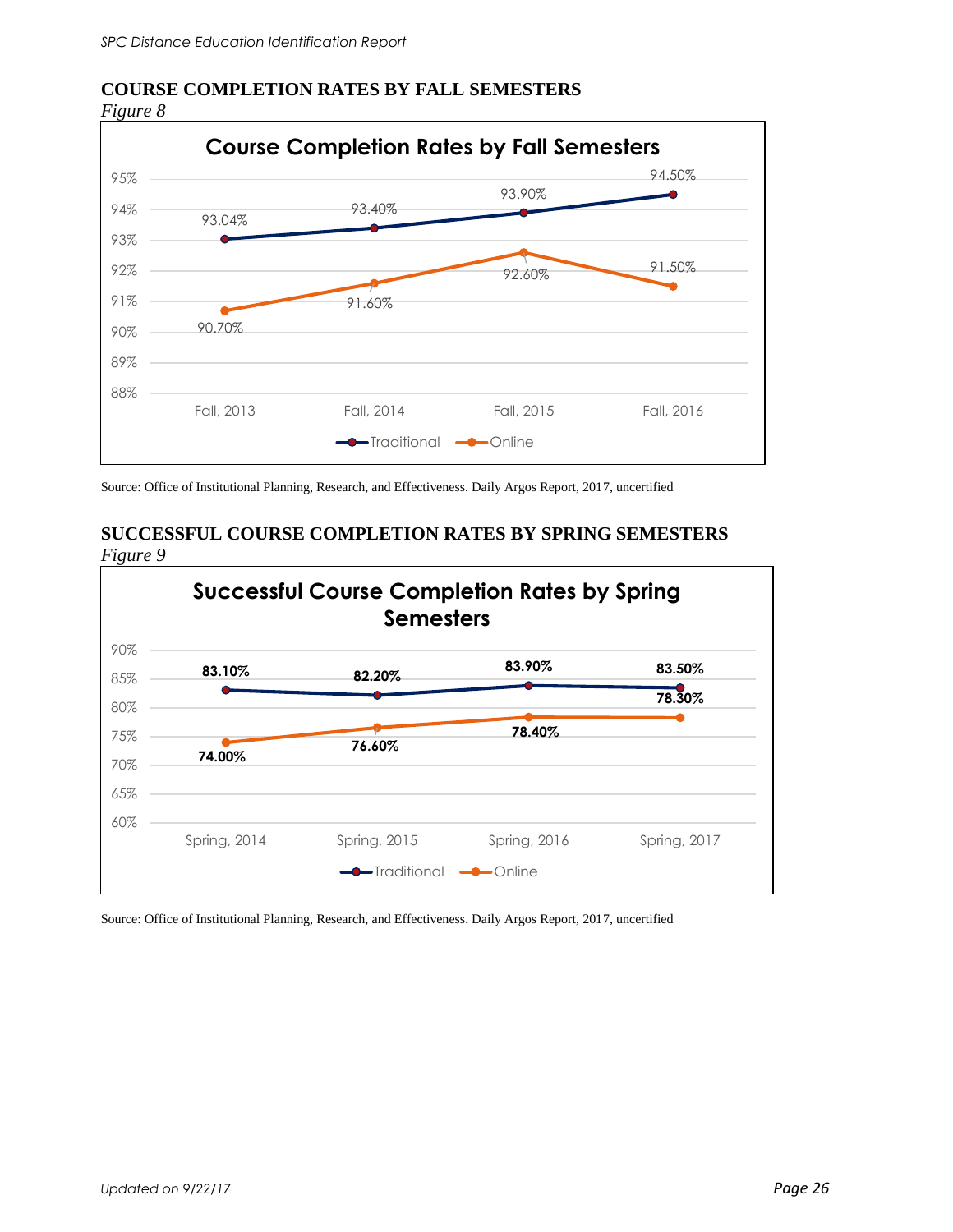### **COURSE COMPLETION RATES BY FALL SEMESTERS**

*Figure 8* 



Source: Office of Institutional Planning, Research, and Effectiveness. Daily Argos Report, 2017, uncertified

### **SUCCESSFUL COURSE COMPLETION RATES BY SPRING SEMESTERS**  *Figure 9*